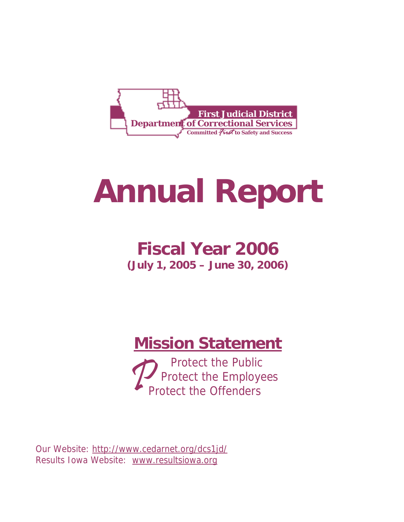

# **Annual Report**

# **Fiscal Year 2006 (July 1, 2005 – June 30, 2006)**

# **Mission Statement**

**Our mission is the Public** Protect the Employees

Our Website: http://www.cedarnet.org/dcs1jd/ Results Iowa Website: www.resultsiowa.org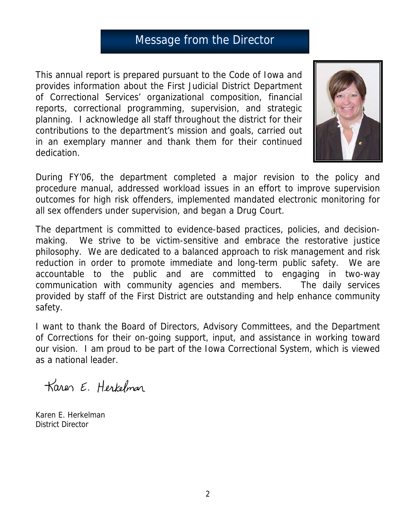# Message from the Director

This annual report is prepared pursuant to the Code of Iowa and provides information about the First Judicial District Department of Correctional Services' organizational composition, financial reports, correctional programming, supervision, and strategic planning. I acknowledge all staff throughout the district for their contributions to the department's mission and goals, carried out in an exemplary manner and thank them for their continued dedication.



During FY'06, the department completed a major revision to the policy and procedure manual, addressed workload issues in an effort to improve supervision outcomes for high risk offenders, implemented mandated electronic monitoring for all sex offenders under supervision, and began a Drug Court.

The department is committed to evidence-based practices, policies, and decisionmaking. We strive to be victim-sensitive and embrace the restorative justice philosophy. We are dedicated to a balanced approach to risk management and risk reduction in order to promote immediate and long-term public safety. We are accountable to the public and are committed to engaging in two-way communication with community agencies and members. The daily services provided by staff of the First District are outstanding and help enhance community safety.

I want to thank the Board of Directors, Advisory Committees, and the Department of Corrections for their on-going support, input, and assistance in working toward our vision. I am proud to be part of the Iowa Correctional System, which is viewed as a national leader.

Karen E. Herkelman

Karen E. Herkelman District Director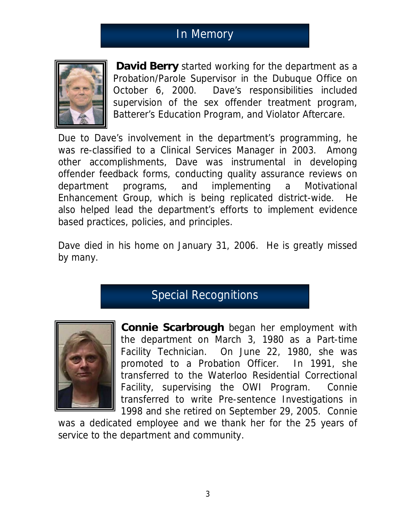# In Memory



**David Berry** started working for the department as a Probation/Parole Supervisor in the Dubuque Office on October 6, 2000. Dave's responsibilities included supervision of the sex offender treatment program, Batterer's Education Program, and Violator Aftercare.

Due to Dave's involvement in the department's programming, he was re-classified to a Clinical Services Manager in 2003. Among other accomplishments, Dave was instrumental in developing offender feedback forms, conducting quality assurance reviews on department programs, and implementing a Motivational Enhancement Group, which is being replicated district-wide. He also helped lead the department's efforts to implement evidence based practices, policies, and principles.

Dave died in his home on January 31, 2006. He is greatly missed by many.

# Special Recognitions



**Connie Scarbrough** began her employment with the department on March 3, 1980 as a Part-time Facility Technician. On June 22, 1980, she was promoted to a Probation Officer. In 1991, she transferred to the Waterloo Residential Correctional Facility, supervising the OWI Program. Connie transferred to write Pre-sentence Investigations in 1998 and she retired on September 29, 2005. Connie

was a dedicated employee and we thank her for the 25 years of service to the department and community.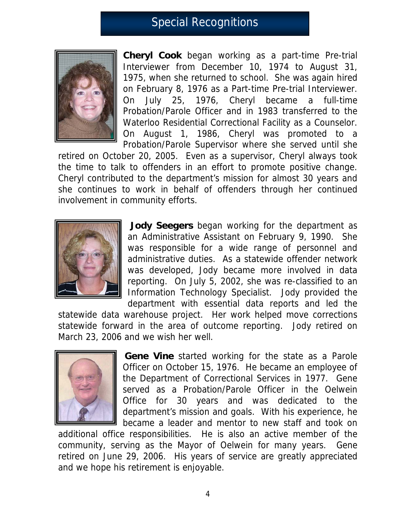# Special Recognitions



**Cheryl Cook** began working as a part-time Pre-trial Interviewer from December 10, 1974 to August 31, 1975, when she returned to school. She was again hired on February 8, 1976 as a Part-time Pre-trial Interviewer. On July 25, 1976, Cheryl became a full-time Probation/Parole Officer and in 1983 transferred to the Waterloo Residential Correctional Facility as a Counselor. On August 1, 1986, Cheryl was promoted to a Probation/Parole Supervisor where she served until she

retired on October 20, 2005. Even as a supervisor, Cheryl always took the time to talk to offenders in an effort to promote positive change. Cheryl contributed to the department's mission for almost 30 years and she continues to work in behalf of offenders through her continued involvement in community efforts.



 **Jody Seegers** began working for the department as an Administrative Assistant on February 9, 1990. She was responsible for a wide range of personnel and administrative duties. As a statewide offender network was developed, Jody became more involved in data reporting. On July 5, 2002, she was re-classified to an Information Technology Specialist. Jody provided the department with essential data reports and led the

statewide data warehouse project. Her work helped move corrections statewide forward in the area of outcome reporting. Jody retired on March 23, 2006 and we wish her well.



**Gene Vine** started working for the state as a Parole Officer on October 15, 1976. He became an employee of the Department of Correctional Services in 1977. Gene served as a Probation/Parole Officer in the Oelwein Office for 30 years and was dedicated to the department's mission and goals. With his experience, he became a leader and mentor to new staff and took on

additional office responsibilities. He is also an active member of the community, serving as the Mayor of Oelwein for many years. Gene retired on June 29, 2006. His years of service are greatly appreciated and we hope his retirement is enjoyable.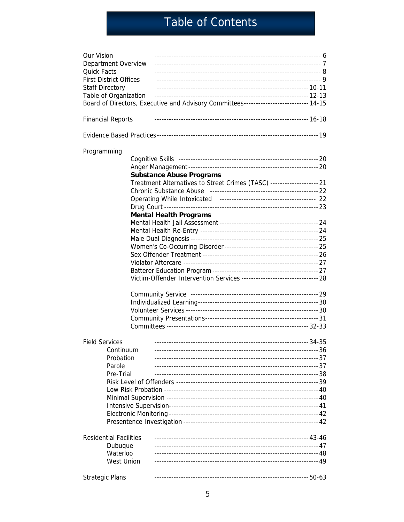# Table of Contents

| Our Vision<br>Department Overview |  |                                                                                      |  |
|-----------------------------------|--|--------------------------------------------------------------------------------------|--|
| <b>Quick Facts</b>                |  |                                                                                      |  |
| <b>First District Offices</b>     |  |                                                                                      |  |
| <b>Staff Directory</b>            |  |                                                                                      |  |
| Table of Organization             |  |                                                                                      |  |
|                                   |  | Board of Directors, Executive and Advisory Committees--------------------------14-15 |  |
| <b>Financial Reports</b>          |  |                                                                                      |  |
|                                   |  |                                                                                      |  |
| Programming                       |  |                                                                                      |  |
|                                   |  |                                                                                      |  |
|                                   |  |                                                                                      |  |
|                                   |  | <b>Substance Abuse Programs</b>                                                      |  |
|                                   |  | Treatment Alternatives to Street Crimes (TASC) -------------------- 21               |  |
|                                   |  |                                                                                      |  |
|                                   |  |                                                                                      |  |
|                                   |  |                                                                                      |  |
|                                   |  | <b>Mental Health Programs</b>                                                        |  |
|                                   |  |                                                                                      |  |
|                                   |  |                                                                                      |  |
|                                   |  |                                                                                      |  |
|                                   |  |                                                                                      |  |
|                                   |  |                                                                                      |  |
|                                   |  |                                                                                      |  |
|                                   |  |                                                                                      |  |
|                                   |  | Victim-Offender Intervention Services ---------------------------------- 28          |  |
|                                   |  |                                                                                      |  |
|                                   |  |                                                                                      |  |
|                                   |  |                                                                                      |  |
|                                   |  |                                                                                      |  |
|                                   |  |                                                                                      |  |
|                                   |  |                                                                                      |  |
| <b>Field Services</b>             |  |                                                                                      |  |
| Continuum                         |  |                                                                                      |  |
| Probation                         |  |                                                                                      |  |
| Parole                            |  |                                                                                      |  |
| Pre-Trial                         |  |                                                                                      |  |
|                                   |  |                                                                                      |  |
|                                   |  |                                                                                      |  |
|                                   |  |                                                                                      |  |
|                                   |  |                                                                                      |  |
|                                   |  |                                                                                      |  |
|                                   |  |                                                                                      |  |
| <b>Residential Facilities</b>     |  |                                                                                      |  |
| Dubuque                           |  |                                                                                      |  |
| Waterloo                          |  |                                                                                      |  |
| <b>West Union</b>                 |  |                                                                                      |  |
| <b>Strategic Plans</b>            |  |                                                                                      |  |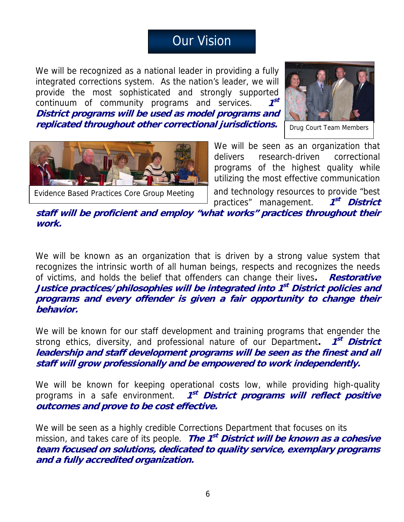# Our Vision

We will be recognized as a national leader in providing a fully integrated corrections system. As the nation's leader, we will provide the most sophisticated and strongly supported continuum of community programs and services. **1st District programs will be used as model programs and replicated throughout other correctional jurisdictions.**



Drug Court Team Members



Evidence Based Practices Core Group Meeting

**work.** 

We will be seen as an organization that delivers research-driven correctional programs of the highest quality while utilizing the most effective communication and technology resources to provide "best

practices" management. **1st District staff will be proficient and employ "what works" practices throughout their** 

We will be known as an organization that is driven by a strong value system that recognizes the intrinsic worth of all human beings, respects and recognizes the needs of victims, and holds the belief that offenders can change their lives**. Restorative Justice practices/philosophies will be integrated into 1st District policies and programs and every offender is given a fair opportunity to change their behavior.** 

We will be known for our staff development and training programs that engender the strong ethics, diversity, and professional nature of our Department. **1<sup>st</sup> District leadership and staff development programs will be seen as the finest and all staff will grow professionally and be empowered to work independently.** 

We will be known for keeping operational costs low, while providing high-quality programs in a safe environment. **1st District programs will reflect positive outcomes and prove to be cost effective.** 

We will be seen as a highly credible Corrections Department that focuses on its mission, and takes care of its people. **The 1st District will be known as a cohesive team focused on solutions, dedicated to quality service, exemplary programs and a fully accredited organization.**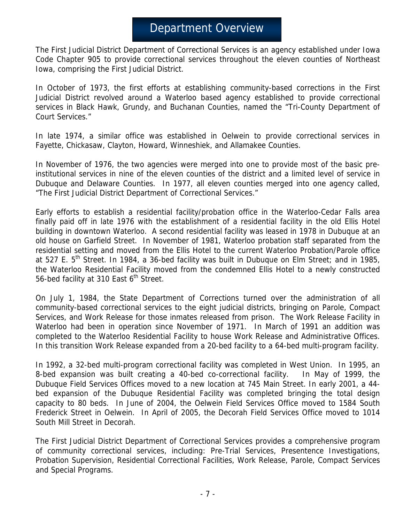# Department Overview

The First Judicial District Department of Correctional Services is an agency established under Iowa Code Chapter 905 to provide correctional services throughout the eleven counties of Northeast Iowa, comprising the First Judicial District.

In October of 1973, the first efforts at establishing community-based corrections in the First Judicial District revolved around a Waterloo based agency established to provide correctional services in Black Hawk, Grundy, and Buchanan Counties, named the "Tri-County Department of Court Services."

In late 1974, a similar office was established in Oelwein to provide correctional services in Fayette, Chickasaw, Clayton, Howard, Winneshiek, and Allamakee Counties.

In November of 1976, the two agencies were merged into one to provide most of the basic preinstitutional services in nine of the eleven counties of the district and a limited level of service in Dubuque and Delaware Counties. In 1977, all eleven counties merged into one agency called, "The First Judicial District Department of Correctional Services."

Early efforts to establish a residential facility/probation office in the Waterloo-Cedar Falls area finally paid off in late 1976 with the establishment of a residential facility in the old Ellis Hotel building in downtown Waterloo. A second residential facility was leased in 1978 in Dubuque at an old house on Garfield Street. In November of 1981, Waterloo probation staff separated from the residential setting and moved from the Ellis Hotel to the current Waterloo Probation/Parole office at 527 E.  $5<sup>th</sup>$  Street. In 1984, a 36-bed facility was built in Dubuque on Elm Street; and in 1985, the Waterloo Residential Facility moved from the condemned Ellis Hotel to a newly constructed 56-bed facility at 310 East 6<sup>th</sup> Street.

On July 1, 1984, the State Department of Corrections turned over the administration of all community-based correctional services to the eight judicial districts, bringing on Parole, Compact Services, and Work Release for those inmates released from prison. The Work Release Facility in Waterloo had been in operation since November of 1971. In March of 1991 an addition was completed to the Waterloo Residential Facility to house Work Release and Administrative Offices. In this transition Work Release expanded from a 20-bed facility to a 64-bed multi-program facility.

In 1992, a 32-bed multi-program correctional facility was completed in West Union. In 1995, an 8-bed expansion was built creating a 40-bed co-correctional facility. In May of 1999, the Dubuque Field Services Offices moved to a new location at 745 Main Street. In early 2001, a 44 bed expansion of the Dubuque Residential Facility was completed bringing the total design capacity to 80 beds. In June of 2004, the Oelwein Field Services Office moved to 1584 South Frederick Street in Oelwein. In April of 2005, the Decorah Field Services Office moved to 1014 South Mill Street in Decorah.

The First Judicial District Department of Correctional Services provides a comprehensive program of community correctional services, including: Pre-Trial Services, Presentence Investigations, Probation Supervision, Residential Correctional Facilities, Work Release, Parole, Compact Services and Special Programs.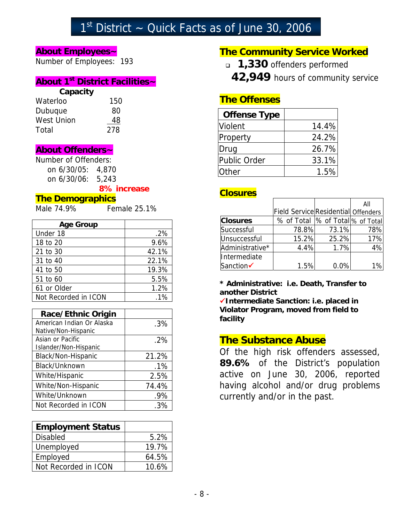# $1<sup>st</sup>$  District  $\sim$  Quick Facts as of June 30, 2006

### **About Employees~**

Number of Employees: 193

### **About 1st District Facilities~**

### **Capacity**

| 150 |
|-----|
| 80  |
| 48  |
| 278 |
|     |

### **About Offenders~**

Number of Offenders: on 6/30/05: 4,870 on 6/30/06: 5,243

### **8% increase**

### **The Demographics**

Male 74.9% Female 25.1%

| <b>Age Group</b>     |        |
|----------------------|--------|
| Under 18             | $.2\%$ |
| 18 to 20             | 9.6%   |
| 21 to 30             | 42.1%  |
| 31 to 40             | 22.1%  |
| 41 to 50             | 19.3%  |
| 51 to 60             | 5.5%   |
| 61 or Older          | 1.2%   |
| Not Recorded in ICON | $1\%$  |

| <b>Race/Ethnic Origin</b> |        |
|---------------------------|--------|
| American Indian Or Alaska | .3%    |
| Native/Non-Hispanic       |        |
| Asian or Pacific          | .2%    |
| Islander/Non-Hispanic     |        |
| Black/Non-Hispanic        | 21.2%  |
| Black/Unknown             | $.1\%$ |
| White/Hispanic            | 2.5%   |
| White/Non-Hispanic        | 74.4%  |
| White/Unknown             | .9%    |
| Not Recorded in ICON      |        |

| <b>Employment Status</b> |       |
|--------------------------|-------|
| <b>Disabled</b>          | 5.2%  |
| Unemployed               | 19.7% |
| Employed                 | 64.5% |
| Not Recorded in ICON     | 10.6% |

## **The Community Service Worked**

- **1,330** offenders performed
	- **42,949** hours of community service

## **The Offenses**

| <b>Offense Type</b> |       |
|---------------------|-------|
| Violent             | 14.4% |
| Property            | 24.2% |
| Drug                | 26.7% |
| Public Order        | 33.1% |
| <b>Other</b>        | 1.5%  |

### **Closures**

|                 |                                            |       | All |
|-----------------|--------------------------------------------|-------|-----|
|                 | <b>Field Service Residential Offenders</b> |       |     |
| <b>Closures</b> | % of Total  % of Total % of Total          |       |     |
| Successful      | 78.8%                                      | 73.1% | 78% |
| Unsuccessful    | 15.2%                                      | 25.2% | 17% |
| Administrative* | 4.4%                                       | 1.7%  | 4%  |
| Intermediate    |                                            |       |     |
| Sanction        | 1.5%                                       | 0.0%  |     |

**\* Administrative: i.e. Death, Transfer to another District** 

9**Intermediate Sanction: i.e. placed in Violator Program, moved from field to facility**

## **The Substance Abuse**

Of the high risk offenders assessed, **89.6%** of the District's population active on June 30, 2006, reported having alcohol and/or drug problems currently and/or in the past.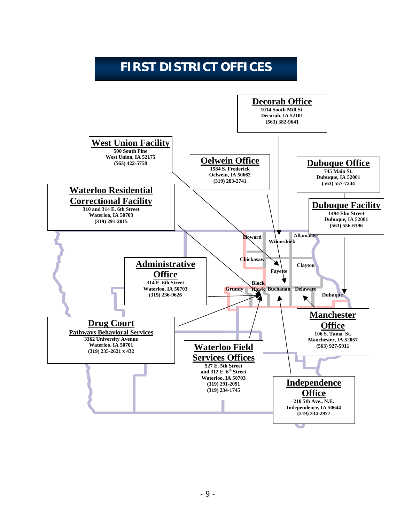# **FIRST DISTRICT OFFICES**

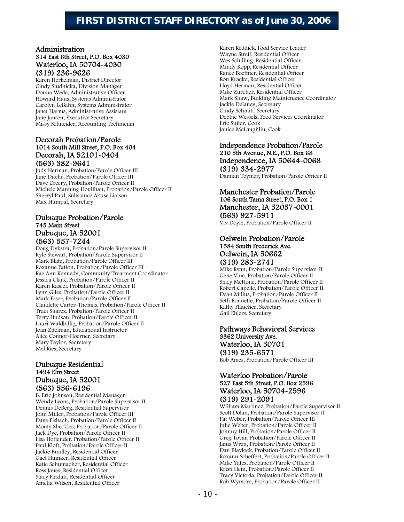## **FIRST DISTRICT STAFF DIRECTORY as of June 30, 2006**

# Administration 314 East 6th Street, P.O. Box 4030 Waterloo, IA 50704-4030<br>
(319) 236-9626<br>
Karen Herkelman, District Director

Cindy Studnicka, Division Manager Donna Wede, Administrative Officer Howard Haus, Systems Administrator Carolyn LeBahn, Systems Administrator Janet Harms, Administrative Assistant Jane Jansen, Executive Secretary Missy Schneider, Accounting Technician

# Decorah Probation/Parole 1014 South Mill Street, P.O. Box 404 Decorah, IA 52101-0404<br>(563) 382-9641<br>Judy Herman, Probation/Parole Officer III

Jane Duehr, Probation/Parole Officer III Dave Creery, Probation/Parole Officer II Michele Manning Houlihan, Probation/Parole Officer II Sherryl Paul, Substance Abuse Liaison Max Humpal, Secretary

# Dubuque Probation/Parole 745 Main Street Dubuque, IA 52001<br>(563) 557-7244<br>Doug Dykstra, Probation/Parole Supervisor II

Kyle Stewart, Probation/Parole Supervisor II Mark Blatz, Probation/Parole Officer III Roxanne Patton, Probation/Parole Officer III Rae Ann Kennedy, Community Treatment Coordinator Jessica Clark, Probation/Parole Officer II Karen Kascel, Probation/Parole Officer II Lynn Giles, Probation/Parole Officer II Mark Esser, Probation/Parole Officer II Claudette Carter-Thomas, Probation/Parole Officer II Traci Suarez, Probation/Parole Officer II Terry Hudson, Probation/Parole Officer II Lauri Waldbillig, Probation/Parole Officer II Joan Zitelman, Educational Instructor Alice Connor-Hoerner, Secretary Mary Taylor, Secretary Mel Ries, Secretary

# Dubuque Residential 1494 Elm Street **Dubuque, IA 52001<br>(563) 556-6196**<br>B. Eric Johnson, Residential Manager

Wendy Lyons, Probation/Parole Supervisor II Dennis DeBerg, Residential Supervisor John Miller, Probation/Parole Officer III Dave Eisbach, Probation/Parole Officer II Monty Sheckles, Probation/Parole Officer II Jack Dye, Probation/Parole Officer II Lisa Hoftender, Probation/Parole Officer II Paul Kloft, Probation/Parole Officer II Jackie Bradley, Residential Officer Gael Huinker, Residential Officer Katie Schumacher, Residential Officer Ross Janes, Residential Officer Stacy Firzlaff, Residential Officer Amelia Wilson, Residential Officer

Karen Reddick, Food Service Leader Wayne Streif, Residential Officer Wes Schilling, Residential Officer Mindy Kopp, Residential Officer Ranee Boettner, Residential Officer Ron Kracke, Residential Officer Lloyd Herman, Residential Officer Mike Zurcher, Residential Officer Mark Shaw, Building Maintenance Coordinator Jackie Delaney, Secretary Cindy Schmitt, Secretary Debbie Wessels, Food Services Coordinator Eric Suiter, Cook Janice McLaughlin, Cook

# Independence Probation/Parole 210 5th Avenue, N.E., P.O. Box 68 Independence, IA 50644~0068<br>
(319) 334~2977<br>
Damian Teymer, Probation/Parole Officer II

# Manchester Probation/Parole 106 South Tama Street, P.O. Box 1 **Manchester, IA 52057-0001**<br> **(563) 927-5911**<br>
Viv Doyle, Probation/Parole Officer II

# Oelwein Probation/Parole 1584 South Frederick Ave. **Oelwein, IA 50662**<br> **(319) 283-2741**<br>
Mike Ryan, Probation/Parole Supervisor II

Gene Vine, Probation/Parole Officer II Stacy McHone, Probation/Parole Officer II Robert Capelle, Probation/Parole Officer II Dean Milius, Probation/Parole Officer II Seth Bonnette, Probation/Parole Officer II Kathy Flaucher, Secretary Gail Ehlers, Secretary

# Pathways Behavioral Services 3362 University Ave. Waterloo, IA 50701<br>
(319) 235~6571<br>
Bob Ames, Probation/Parole Officer III

# Waterloo Probation/Parole 527 East 5th Street, P.O. Box 2596

(319) 291~2091<br>William Martinez, Probation/Parole Supervisor II Scott Dolan, Probation/Parole Supervisor II Pat Weber, Probation/Parole Officer III Julie Weber, Probation/Parole Officer II Johnny Hill, Probation/Parole Officer II Greg Tovar, Probation/Parole Officer II Janis Wren, Probation/Parole Officer II Dan Blaylock, Probation/Parole Officer II Roxann Scheffert, Probation/Parole Officer II Mike Yates, Probation/Parole Officer II Kristi Hein, Probation/Parole Officer II Tracy Victoria, Probation/Parole Officer II Rob Wymore, Probation/Parole Officer II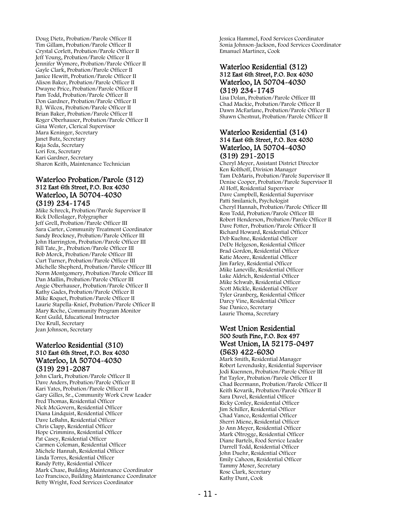Doug Dietz, Probation/Parole Officer II Tim Gillam, Probation/Parole Officer II Crystal Corlett, Probation/Parole Officer II Jeff Young, Probation/Parole Officer II Jennifer Wymore, Probation/Parole Officer II Gayle Clark, Probation/Parole Officer II Janice Hewitt, Probation/Parole Officer II Alison Baker, Probation/Parole Officer II Dwayne Price, Probation/Parole Officer II Pam Todd, Probation/Parole Officer II Don Gardner, Probation/Parole Officer II B.J. Wilcox, Probation/Parole Officer II Brian Baker, Probation/Parole Officer II Roger Oberhauser, Probation/Parole Officer II Gina Wester, Clerical Supervisor Mara Keninger, Secretary Janet Butz, Secretary Raja Seda, Secretary Lori Fox, Secretary Kari Gardner, Secretary Sharon Keith, Maintenance Technician

# Waterloo Probation/Parole (312) 312 East 6th Street, P.O. Box 4030 Waterloo, IA 50704~4030<br>
(319) 234~1745<br>
Mike Schreck, Probation/Parole Supervisor II

Rick Dolleslager, Polygrapher Jeff Grell, Probation/Parole Officer III Sara Carter, Community Treatment Coordinator Sandy Brockney, Probation/Parole Officer III John Harrington, Probation/Parole Officer III Bill Tate, Jr., Probation/Parole Officer III Bob Morck, Probation/Parole Officer III Curt Turner, Probation/Parole Officer III Michelle Shepherd, Probation/Parole Officer III Norm Montgomery, Probation/Parole Officer III Dan Mallin, Probation/Parole Officer III Angie Oberhauser, Probation/Parole Officer II Kathy Gades, Probation/Parole Officer II Mike Roquet, Probation/Parole Officer II Laurie Stapella-Knief, Probation/Parole Officer II Mary Roche, Community Program Monitor Kent Guild, Educational Instructor Dee Krull, Secretary Jean Johnson, Secretary

# Waterloo Residential (310) 310 East 6th Street, P.O. Box 4030 Waterloo, IA 50704~4030<br>
(319) 291~2087<br>
John Clark, Probation/Parole Officer II

Dave Anders, Probation/Parole Officer II Kari Yates, Probation/Parole Officer II Gary Gilles, Sr., Community Work Crew Leader Fred Thomas, Residential Officer Nick McGovern, Residential Officer Diana Lindquist, Residential Officer Dave LeBahn, Residential Officer Chris Clapp, Residential Officer Hope Crimmins, Residential Officer Pat Casey, Residential Officer Carmen Coleman, Residential Officer Michele Hannah, Residential Officer Linda Torres, Residential Officer Randy Petty, Residential Officer Mark Chase, Building Maintenance Coordinator Leo Francisco, Building Maintenance Coordinator Betty Wright, Food Services Coordinator

Jessica Hammel, Food Services Coordinator Sonia Johnson-Jackson, Food Services Coordinator Emanuel Martinez, Cook

# Waterloo Residential (312) 312 East 6th Street, P.O. Box 4030 Waterloo, IA 50704~4030<br>(319) 234~1745<br>Lisa Dolan, Probation/Parole Officer III

Chad Mackie, Probation/Parole Officer II Dawn McFarlane, Probation/Parole Officer II Shawn Chestnut, Probation/Parole Officer II

# Waterloo Residential (314) 314 East 6th Street, P.O. Box 4030 Waterloo, IA 50704~4030<br>
(319) 291~2015<br>
Cheryl Meyer, Assistant District Director

Ken Kolthoff, Division Manager Tam DeMaris, Probation/Parole Supervisor II Denise Cooper, Probation/Parole Supervisor II Al Hoff, Residential Supervisor Dave Campbell, Residential Supervisor Patti Smilanich, Psychologist Cheryl Hannah, Probation/Parole Officer III Ross Todd, Probation/Parole Officer III Robert Henderson, Probation/Parole Officer II Dave Potter, Probation/Parole Officer II Richard Howard, Residential Officer Deb Kuehne, Residential Officer DeDe Helgeson, Residential Officer Brad Gordon, Residential Officer Katie Moore, Residential Officer Jim Farley, Residential Officer Mike Laneville, Residential Officer Luke Aldrich, Residential Officer Mike Schwab, Residential Officer Scott Mickle, Residential Officer Tyler Granberg, Residential Officer Darcy Vine, Residential Officer Sue Danico, Secretary Laurie Thoma, Secretary

# West Union Residential 500 South Pine, P.O. Box 497 West Union, IA 52175-0497 (563) 422-6030 Mark Smith, Residential Manager

Robert Levendusky, Residential Supervisor Jodi Kuennen, Probation/Parole Officer III Pat Taylor, Probation/Parole Officer II Chad Beermann, Probation/Parole Officer II Keith Kovarik, Probation/Parole Officer II Sara Duvel, Residential Officer Ricky Conley, Residential Officer Jim Schiller, Residential Officer Chad Vance, Residential Officer Sherri Miene, Residential Officer Jo Ann Meyer, Residential Officer Mark Oltrogge, Residential Officer Diane Bartels, Food Service Leader Darrell Todd, Residential Officer John Duehr, Residential Officer Emily Cahoon, Residential Officer Tammy Moser, Secretary Rose Clark, Secretary Kathy Dunt, Cook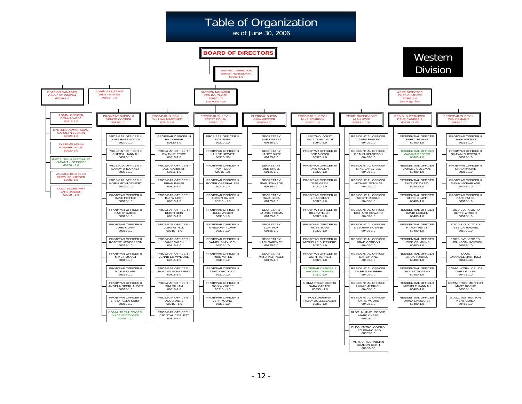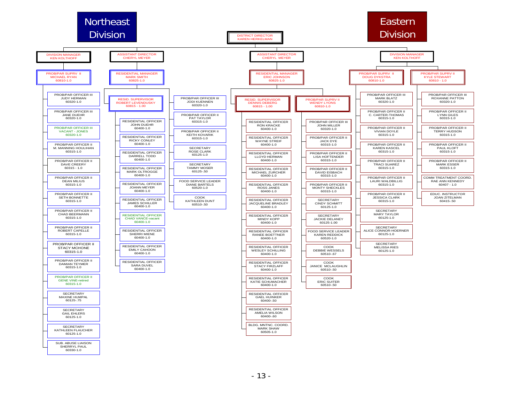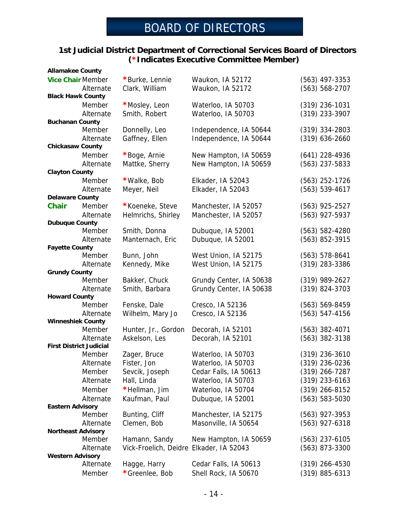# BOARD OF DIRECTORS

### **1st Judicial District Department of Correctional Services Board of Directors (\*Indicates Executive Committee Member)**

| <b>Allamakee County</b>        |           |                                         |                         |                    |
|--------------------------------|-----------|-----------------------------------------|-------------------------|--------------------|
| <b>Vice Chair Member</b>       |           | *Burke, Lennie                          | Waukon, IA 52172        | $(563)$ 497-3353   |
|                                | Alternate | Clark, William                          | Waukon, IA 52172        | $(563) 568 - 2707$ |
| <b>Black Hawk County</b>       |           |                                         |                         |                    |
|                                | Member    | *Mosley, Leon                           | Waterloo, IA 50703      | $(319)$ 236-1031   |
|                                | Alternate | Smith, Robert                           | Waterloo, IA 50703      | $(319)$ 233-3907   |
| <b>Buchanan County</b>         |           |                                         |                         |                    |
|                                | Member    | Donnelly, Leo                           | Independence, IA 50644  | $(319)$ 334-2803   |
|                                | Alternate | Gaffney, Ellen                          | Independence, IA 50644  | $(319)$ 636-2660   |
| <b>Chickasaw County</b>        |           |                                         |                         |                    |
|                                | Member    | *Boge, Arnie                            | New Hampton, IA 50659   | $(641)$ 228-4936   |
|                                | Alternate | Mattke, Sherry                          | New Hampton, IA 50659   | $(563)$ 237-5833   |
| <b>Clayton County</b>          |           |                                         |                         |                    |
|                                | Member    | *Walke, Bob                             | Elkader, IA 52043       | $(563)$ 252-1726   |
|                                | Alternate | Meyer, Neil                             | Elkader, IA 52043       | $(563) 539-4617$   |
| <b>Delaware County</b>         |           |                                         |                         |                    |
| <b>Chair</b>                   | Member    | *Koeneke, Steve                         | Manchester, IA 52057    | $(563)$ 925-2527   |
|                                | Alternate | Helmrichs, Shirley                      | Manchester, IA 52057    | (563) 927-5937     |
| <b>Dubuque County</b>          |           |                                         |                         |                    |
|                                | Member    | Smith, Donna                            | Dubuque, IA 52001       | $(563) 582 - 4280$ |
|                                | Alternate | Manternach, Eric                        | Dubuque, IA 52001       | (563) 852-3915     |
| <b>Fayette County</b>          |           |                                         |                         |                    |
|                                | Member    | Bunn, John                              | West Union, IA 52175    | $(563) 578-8641$   |
|                                | Alternate | Kennedy, Mike                           | West Union, IA 52175    | $(319)$ 283-3386   |
| <b>Grundy County</b>           |           |                                         |                         |                    |
|                                | Member    | Bakker, Chuck                           | Grundy Center, IA 50638 | $(319)$ 989-2627   |
|                                | Alternate | Smith, Barbara                          | Grundy Center, IA 50638 | (319) 824-3703     |
| <b>Howard County</b>           |           |                                         |                         |                    |
|                                | Member    | Fenske, Dale                            | Cresco, IA 52136        | $(563) 569 - 8459$ |
|                                | Alternate | Wilhelm, Mary Jo                        | Cresco, IA 52136        | $(563) 547 - 4156$ |
| <b>Winneshiek County</b>       |           |                                         |                         |                    |
|                                | Member    | Hunter, Jr., Gordon                     | Decorah, IA 52101       | $(563)$ 382-4071   |
|                                | Alternate | Askelson, Les                           | Decorah, IA 52101       | $(563)$ 382-3138   |
| <b>First District Judicial</b> |           |                                         |                         |                    |
|                                | Member    | Zager, Bruce                            | Waterloo, IA 50703      | $(319)$ 236-3610   |
|                                | Alternate | Fister, Jon                             | Waterloo, IA 50703      | $(319)$ 236-0236   |
|                                | Member    | Sevcik, Joseph                          | Cedar Falls, IA 50613   | $(319)$ 266-7287   |
|                                | Alternate | Hall, Linda                             | Waterloo, IA 50703      | $(319)$ 233-6163   |
|                                | Member    | *Hellman, Jim                           | Waterloo, IA 50704      | $(319)$ 266-8152   |
|                                | Alternate | Kaufman, Paul                           | Dubuque, IA 52001       | $(563) 583 - 5030$ |
| <b>Eastern Advisory</b>        |           |                                         |                         |                    |
|                                | Member    | Bunting, Cliff                          | Manchester, IA 52175    | $(563)$ 927-3953   |
|                                | Alternate | Clemen, Bob                             | Masonville, IA 50654    | $(563)$ 927-6318   |
| <b>Northeast Advisory</b>      |           |                                         |                         |                    |
|                                | Member    | Hamann, Sandy                           | New Hampton, IA 50659   | $(563)$ 237-6105   |
|                                | Alternate | Vick-Froelich, Deidre Elkader, IA 52043 |                         | $(563)$ 873-3300   |
| <b>Western Advisory</b>        |           |                                         |                         |                    |
|                                | Alternate | Hagge, Harry                            | Cedar Falls, IA 50613   | $(319)$ 266-4530   |
|                                | Member    | *Greenlee, Bob                          | Shell Rock, IA 50670    | $(319) 885 - 6313$ |
|                                |           |                                         |                         |                    |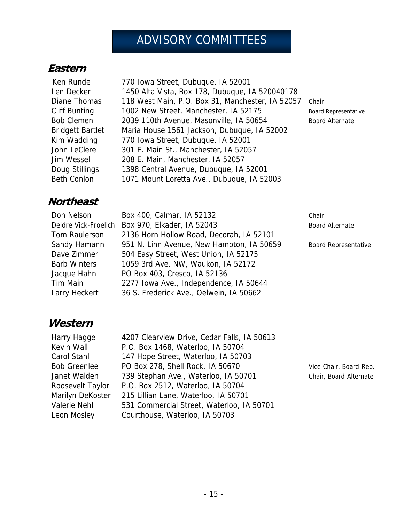# ADVISORY COMMITTEES

## **Eastern**

 Ken Runde 770 Iowa Street, Dubuque, IA 52001 Len Decker 1450 Alta Vista, Box 178, Dubuque, IA 520040178 Diane Thomas 118 West Main, P.O. Box 31, Manchester, IA 52057 Chair Cliff Bunting 1002 New Street, Manchester, IA 52175 Board Representative Bob Clemen 2039 110th Avenue, Masonville, IA 50654 Board Alternate Bridgett Bartlet Maria House 1561 Jackson, Dubuque, IA 52002 Kim Wadding 770 Iowa Street, Dubuque, IA 52001 John LeClere 301 E. Main St., Manchester, IA 52057 Jim Wessel 208 E. Main, Manchester, IA 52057 Doug Stillings 1398 Central Avenue, Dubuque, IA 52001 Beth Conlon 1071 Mount Loretta Ave., Dubuque, IA 52003

## **Northeast**

| Don Nelson           | Box 400, Calmar, IA 52132                 | Chair                       |
|----------------------|-------------------------------------------|-----------------------------|
| Deidre Vick-Froelich | Box 970, Elkader, IA 52043                | <b>Board Alternate</b>      |
| Tom Raulerson        | 2136 Horn Hollow Road, Decorah, IA 52101  |                             |
| Sandy Hamann         | 951 N. Linn Avenue, New Hampton, IA 50659 | <b>Board Representative</b> |
| Dave Zimmer          | 504 Easy Street, West Union, IA 52175     |                             |
| <b>Barb Winters</b>  | 1059 3rd Ave. NW, Waukon, IA 52172        |                             |
| Jacque Hahn          | PO Box 403, Cresco, IA 52136              |                             |
| Tim Main             | 2277 Iowa Ave., Independence, IA 50644    |                             |
| Larry Heckert        | 36 S. Frederick Ave., Oelwein, IA 50662   |                             |

## **Western**

Harry Hagge 4207 Clearview Drive, Cedar Falls, IA 50613 Kevin Wall P.O. Box 1468, Waterloo, IA 50704 Carol Stahl 147 Hope Street, Waterloo, IA 50703 Bob Greenlee PO Box 278, Shell Rock, IA 50670 Vice-Chair, Board Rep. Janet Walden 739 Stephan Ave., Waterloo, IA 50701 Chair, Board Alternate Roosevelt Taylor P.O. Box 2512, Waterloo, IA 50704 Marilyn DeKoster 215 Lillian Lane, Waterloo, IA 50701 Valerie Nehl 531 Commercial Street, Waterloo, IA 50701 Leon Mosley Courthouse, Waterloo, IA 50703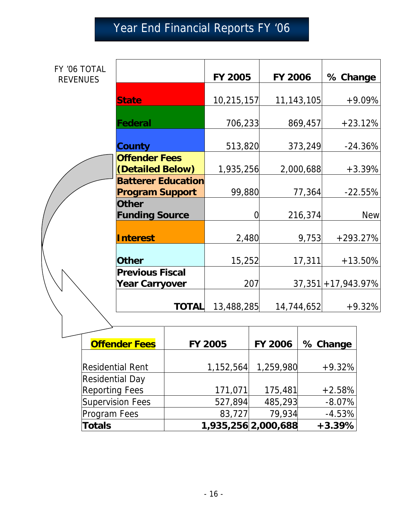# Year End Financial Reports FY '06

| FY '06 TOTAL<br><b>REVENUES</b> |                                                     | <b>FY 2005</b> | <b>FY 2006</b> | % Change               |
|---------------------------------|-----------------------------------------------------|----------------|----------------|------------------------|
|                                 | <b>State</b>                                        | 10,215,157     | 11, 143, 105   | $+9.09%$               |
|                                 | Federal                                             | 706,233        | 869,457        | $+23.12%$              |
|                                 | County                                              | 513,820        | 373,249        | $-24.36%$              |
|                                 | <b>Offender Fees</b><br>(Detailed Below)            | 1,935,256      | 2,000,688      | $+3.39%$               |
|                                 | <b>Batterer Education</b><br><b>Program Support</b> | 99,880         | 77,364         | $-22.55%$              |
|                                 | <b>Other</b><br><b>Funding Source</b>               | 0              | 216,374        | <b>New</b>             |
|                                 | <b>Interest</b>                                     | 2,480          | 9,753          | $+293.27%$             |
|                                 | <b>Other</b>                                        | 15,252         | 17,311         | $+13.50%$              |
|                                 | <b>Previous Fiscal</b><br><b>Year Carryover</b>     | 207            |                | $37,351 + 17,943.97\%$ |
|                                 | <b>TOTAL</b>                                        | 13,488,285     | 14,744,652     | $+9.32%$               |

| <b>Offender Fees</b>    | <b>FY 2005</b> | <b>FY 2006</b>      | % Change |
|-------------------------|----------------|---------------------|----------|
|                         |                |                     |          |
| <b>Residential Rent</b> | 1,152,564      | 1,259,980           | $+9.32%$ |
| <b>Residential Day</b>  |                |                     |          |
| <b>Reporting Fees</b>   | 171,071        | 175,481             | $+2.58%$ |
| Supervision Fees        | 527,894        | 485,293             | $-8.07%$ |
| <b>Program Fees</b>     | 83,727         | 79,934              | $-4.53%$ |
| <b>Totals</b>           |                | 1,935,256 2,000,688 | $+3.39%$ |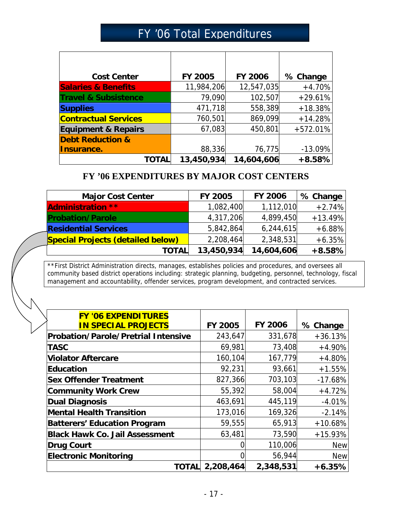# FY '06 Total Expenditures

| <b>Cost Center</b>              | FY 2005    | <b>FY 2006</b> | % Change   |
|---------------------------------|------------|----------------|------------|
| <b>Salaries &amp; Benefits</b>  | 11,984,206 | 12,547,035     | $+4.70%$   |
| <b>Travel &amp; Subsistence</b> | 79,090     | 102,507        | $+29.61%$  |
| <b>Supplies</b>                 | 471,718    | 558,389        | $+18.38%$  |
| <b>Contractual Services</b>     | 760,501    | 869,099        | $+14.28%$  |
| <b>Equipment &amp; Repairs</b>  | 67,083     | 450,801        | $+572.01%$ |
| <b>Debt Reduction &amp;</b>     |            |                |            |
| Insurance.                      | 88,336     | 76,775         | $-13.09%$  |
| TOTAL                           | 13,450,934 | 14,604,606     | $+8.58%$   |

### **FY '06 EXPENDITURES BY MAJOR COST CENTERS**

| <b>Major Cost Center</b>                 | <b>FY 2005</b> | <b>FY 2006</b> | % Change  |
|------------------------------------------|----------------|----------------|-----------|
| <b>Administration **</b>                 | 1,082,400      | 1,112,010      | $+2.74%$  |
| <b>Probation/Parole</b>                  | 4,317,206      | 4,899,450      | $+13.49%$ |
| <b>Residential Services</b>              | 5,842,864      | 6,244,615      | $+6.88%$  |
| <b>Special Projects (detailed below)</b> | 2,208,464      | 2,348,531      | $+6.35%$  |
| <b>TOTAL</b>                             | 13,450,934     | 14,604,606     | $+8.58%$  |

\*\*First District Administration directs, manages, establishes policies and procedures, and oversees all community based district operations including: strategic planning, budgeting, personnel, technology, fiscal management and accountability, offender services, program development, and contracted services.

| <b>FY '06 EXPENDITURES</b><br><b>IN SPECIAL PROJECTS</b> | <b>FY 2005</b> | <b>FY 2006</b> | % Change   |
|----------------------------------------------------------|----------------|----------------|------------|
| <b>Probation/Parole/Pretrial Intensive</b>               | 243,647        | 331,678        | $+36.13%$  |
| <b>TASC</b>                                              | 69,981         | 73,408         | $+4.90%$   |
| <b>Violator Aftercare</b>                                | 160,104        | 167,779        | $+4.80%$   |
| Education                                                | 92,231         | 93,661         | $+1.55%$   |
| <b>Sex Offender Treatment</b>                            | 827,366        | 703,103        | $-17.68%$  |
| <b>Community Work Crew</b>                               | 55,392         | 58,004         | $+4.72%$   |
| <b>Dual Diagnosis</b>                                    | 463,691        | 445,119        | $-4.01%$   |
| <b>Mental Health Transition</b>                          | 173,016        | 169,326        | $-2.14%$   |
| <b>Batterers' Education Program</b>                      | 59,555         | 65,913         | $+10.68%$  |
| <b>Black Hawk Co. Jail Assessment</b>                    | 63,481         | 73,590         | $+15.93%$  |
| <b>Drug Court</b>                                        |                | 110,006        | <b>New</b> |
| <b>Electronic Monitoring</b>                             |                | 56,944         | <b>New</b> |
| <b>TOTAL</b>                                             | 2,208,464      | 2,348,531      | $+6.35%$   |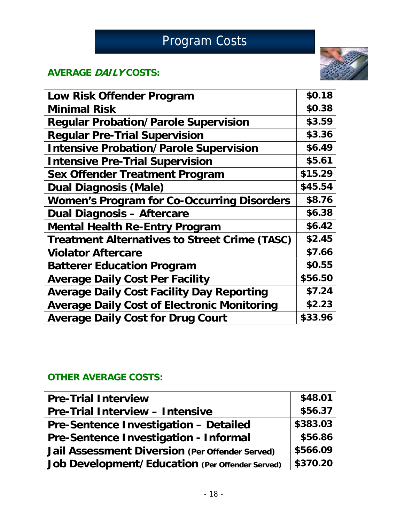# Program Costs

# **AVERAGE DAILY COSTS:**



| \$0.18  |
|---------|
| \$0.38  |
| \$3.59  |
| \$3.36  |
| \$6.49  |
| \$5.61  |
| \$15.29 |
| \$45.54 |
| \$8.76  |
| \$6.38  |
| \$6.42  |
| \$2.45  |
| \$7.66  |
| \$0.55  |
| \$56.50 |
| \$7.24  |
| \$2.23  |
| \$33.96 |
|         |

## **OTHER AVERAGE COSTS:**

| <b>Pre-Trial Interview</b>                             | \$48.01  |
|--------------------------------------------------------|----------|
| <b>Pre-Trial Interview - Intensive</b>                 | \$56.37  |
| <b>Pre-Sentence Investigation - Detailed</b>           | \$383.03 |
| Pre-Sentence Investigation - Informal                  | \$56.86  |
| <b>Jail Assessment Diversion (Per Offender Served)</b> | \$566.09 |
| Job Development/Education (Per Offender Served)        | \$370.20 |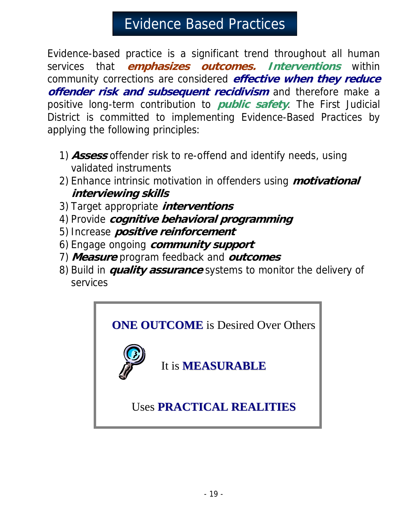# Evidence Based Practices

Evidence-based practice is a significant trend throughout all human services that **emphasizes outcomes. Interventions** within community corrections are considered **effective when they reduce offender risk and subsequent recidivism** and therefore make a positive long-term contribution to **public safety**. The First Judicial District is committed to implementing Evidence-Based Practices by applying the following principles:

- 1) **Assess** offender risk to re-offend and identify needs, using validated instruments
- 2) Enhance intrinsic motivation in offenders using **motivational interviewing skills**
- 3) Target appropriate **interventions**
- 4) Provide **cognitive behavioral programming**
- 5) Increase **positive reinforcement**
- 6) Engage ongoing **community support**
- 7) **Measure** program feedback and **outcomes**
- 8) Build in **quality assurance** systems to monitor the delivery of services

**ONE OUTCOME** is Desired Over Others

It is **MEASURABLE**

Uses **PRACTICAL REALITIES**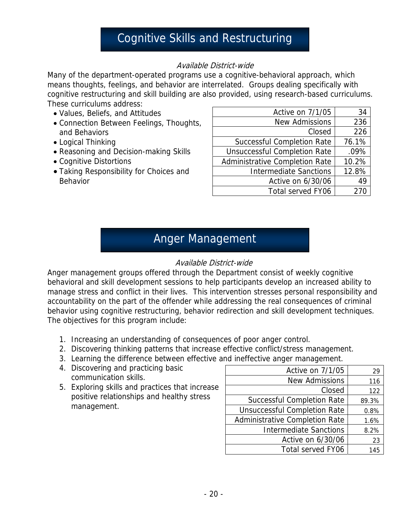# Cognitive Skills and Restructuring

### Available District-wide

Many of the department-operated programs use a cognitive-behavioral approach, which means thoughts, feelings, and behavior are interrelated. Groups dealing specifically with cognitive restructuring and skill building are also provided, using research-based curriculums. These curriculums address:

- Values, Beliefs, and Attitudes
- Connection Between Feelings, Thoughts, and Behaviors
- Logical Thinking
- Reasoning and Decision-making Skills
- Cognitive Distortions
- Taking Responsibility for Choices and Behavior

| Active on 7/1/05                    | 34    |
|-------------------------------------|-------|
| <b>New Admissions</b>               | 236   |
| Closed                              | 226   |
| <b>Successful Completion Rate</b>   | 76.1% |
| <b>Unsuccessful Completion Rate</b> | .09%  |
| Administrative Completion Rate      | 10.2% |
| <b>Intermediate Sanctions</b>       | 12.8% |
| Active on 6/30/06                   | 49    |
| Total served FY06                   | 270   |

# Anger Management

### Available District-wide

Anger management groups offered through the Department consist of weekly cognitive behavioral and skill development sessions to help participants develop an increased ability to manage stress and conflict in their lives. This intervention stresses personal responsibility and accountability on the part of the offender while addressing the real consequences of criminal behavior using cognitive restructuring, behavior redirection and skill development techniques. The objectives for this program include:

- 1. Increasing an understanding of consequences of poor anger control.
- 2. Discovering thinking patterns that increase effective conflict/stress management.
- 3. Learning the difference between effective and ineffective anger management.
- 4. Discovering and practicing basic communication skills.
- 5. Exploring skills and practices that increase positive relationships and healthy stress management.

| Active on 7/1/05                    | 29    |
|-------------------------------------|-------|
| <b>New Admissions</b>               | 116   |
| Closed                              | 122   |
| <b>Successful Completion Rate</b>   | 89.3% |
| <b>Unsuccessful Completion Rate</b> | 0.8%  |
| Administrative Completion Rate      | 1.6%  |
| <b>Intermediate Sanctions</b>       | 8.2%  |
| Active on 6/30/06                   | 23    |
| <b>Total served FY06</b>            | 145   |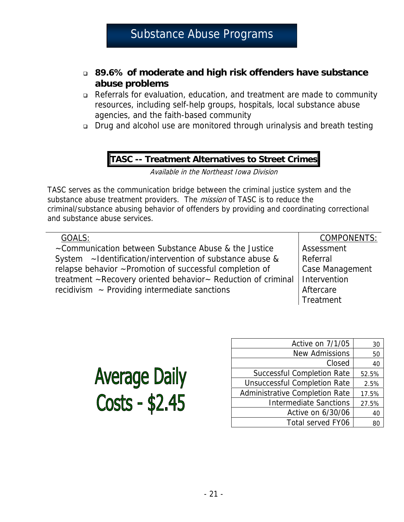- **89.6% of moderate and high risk offenders have substance abuse problems**
- Referrals for evaluation, education, and treatment are made to community resources, including self-help groups, hospitals, local substance abuse agencies, and the faith-based community
- Drug and alcohol use are monitored through urinalysis and breath testing

### **TASC -- Treatment Alternatives to Street Crimes**

Available in the Northeast Iowa Division

TASC serves as the communication bridge between the criminal justice system and the substance abuse treatment providers. The *mission* of TASC is to reduce the criminal/substance abusing behavior of offenders by providing and coordinating correctional and substance abuse services.

GOALS:

~Communication between Substance Abuse & the Justice System ~Identification/intervention of substance abuse & relapse behavior ~Promotion of successful completion of treatment ~Recovery oriented behavior~ Reduction of criminal recidivism  $\sim$  Providing intermediate sanctions

COMPONENTS: Assessment Referral Case Management Intervention **Aftercare Treatment** 

| <b>Average Daily</b> |  |  |
|----------------------|--|--|
| Costs - \$2.45       |  |  |

| Active on 7/1/05                    | 30    |
|-------------------------------------|-------|
| <b>New Admissions</b>               | 50    |
| Closed                              | 40    |
| <b>Successful Completion Rate</b>   | 52.5% |
| <b>Unsuccessful Completion Rate</b> | 2.5%  |
| Administrative Completion Rate      | 17.5% |
| <b>Intermediate Sanctions</b>       | 27.5% |
| Active on 6/30/06                   | 40    |
| Total served FY06                   |       |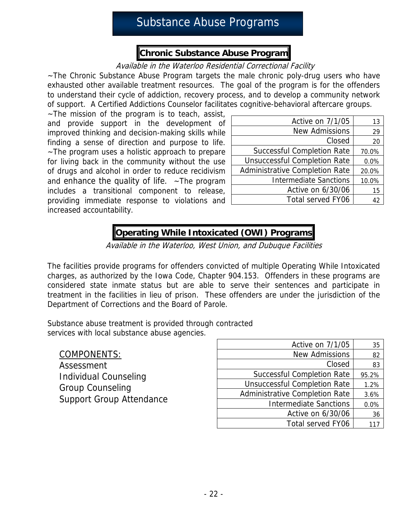# Substance Abuse Programs

## **Chronic Substance Abuse Program**

### Available in the Waterloo Residential Correctional Facility

~The Chronic Substance Abuse Program targets the male chronic poly-drug users who have exhausted other available treatment resources. The goal of the program is for the offenders to understand their cycle of addiction, recovery process, and to develop a community network of support. A Certified Addictions Counselor facilitates cognitive-behavioral aftercare groups.

 $\sim$ The mission of the program is to teach, assist, and provide support in the development of improved thinking and decision-making skills while finding a sense of direction and purpose to life. ~The program uses a holistic approach to prepare for living back in the community without the use of drugs and alcohol in order to reduce recidivism and enhance the quality of life.  $\sim$ The program includes a transitional component to release, providing immediate response to violations and increased accountability.

| Active on 7/1/05                      | 13    |
|---------------------------------------|-------|
| <b>New Admissions</b>                 | 29    |
| Closed                                | 20    |
| <b>Successful Completion Rate</b>     | 70.0% |
| <b>Unsuccessful Completion Rate</b>   | 0.0%  |
| <b>Administrative Completion Rate</b> | 20.0% |
| <b>Intermediate Sanctions</b>         | 10.0% |
| Active on 6/30/06                     | 15    |
| <b>Total served FY06</b>              | 42    |

## **Operating While Intoxicated (OWI) Programs**

Available in the Waterloo, West Union, and Dubuque Facilities

The facilities provide programs for offenders convicted of multiple Operating While Intoxicated charges, as authorized by the Iowa Code, Chapter 904.153. Offenders in these programs are considered state inmate status but are able to serve their sentences and participate in treatment in the facilities in lieu of prison. These offenders are under the jurisdiction of the Department of Corrections and the Board of Parole.

Substance abuse treatment is provided through contracted services with local substance abuse agencies.

| COMPONENTS:                     |
|---------------------------------|
| Assessment                      |
| Individual Counseling           |
| <b>Group Counseling</b>         |
| <b>Support Group Attendance</b> |
|                                 |

| Active on 7/1/05                    | 35    |
|-------------------------------------|-------|
| <b>New Admissions</b>               | 82    |
| Closed                              | 83    |
| <b>Successful Completion Rate</b>   | 95.2% |
| <b>Unsuccessful Completion Rate</b> | 1.2%  |
| Administrative Completion Rate      | 3.6%  |
| <b>Intermediate Sanctions</b>       | 0.0%  |
| Active on 6/30/06                   | 36    |
| Total served FY06                   |       |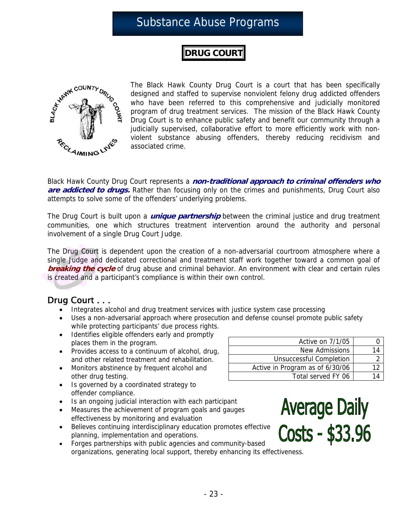# Substance Abuse Programs

## **DRUG COURT**



The Black Hawk County Drug Court is a court that has been specifically designed and staffed to supervise nonviolent felony drug addicted offenders who have been referred to this comprehensive and judicially monitored program of drug treatment services. The mission of the Black Hawk County Drug Court is to enhance public safety and benefit our community through a judicially supervised, collaborative effort to more efficiently work with nonviolent substance abusing offenders, thereby reducing recidivism and associated crime.

Black Hawk County Drug Court represents a **non-traditional approach to criminal offenders who are addicted to drugs.** Rather than focusing only on the crimes and punishments, Drug Court also attempts to solve some of the offenders' underlying problems.

The Drug Court is built upon a **unique partnership** between the criminal justice and drug treatment communities, one which structures treatment intervention around the authority and personal involvement of a single Drug Court Judge.

The Drug Court is dependent upon the creation of a non-adversarial courtroom atmosphere where a single Judge and dedicated correctional and treatment staff work together toward a common goal of **breaking the cycle** of drug abuse and criminal behavior. An environment with clear and certain rules is created and a participant's compliance is within their own control.

### Drug Court . . .

- Integrates alcohol and drug treatment services with justice system case processing
- Uses a non-adversarial approach where prosecution and defense counsel promote public safety while protecting participants' due process rights.
- Identifies eligible offenders early and promptly places them in the program.
- Provides access to a continuum of alcohol, drug, and other related treatment and rehabilitation.
- Monitors abstinence by frequent alcohol and other drug testing.

| Active on 7/1/05                |  |
|---------------------------------|--|
| New Admissions                  |  |
| <b>Unsuccessful Completion</b>  |  |
| Active in Program as of 6/30/06 |  |
| Total served FY 06              |  |

- Is governed by a coordinated strategy to offender compliance.
- Is an ongoing judicial interaction with each participant
- Measures the achievement of program goals and gauges effectiveness by monitoring and evaluation
- Believes continuing interdisciplinary education promotes effective planning, implementation and operations.
- Forges partnerships with public agencies and community-based organizations, generating local support, thereby enhancing its effectiveness.

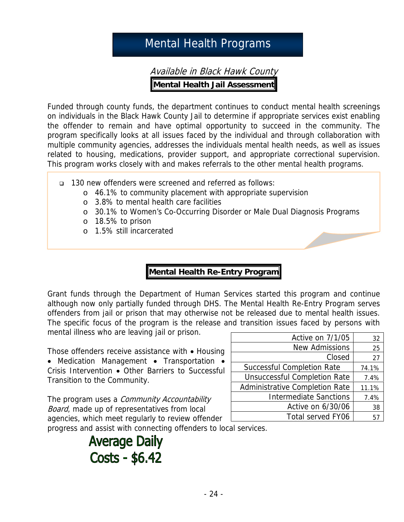# Mental Health Programs

Available in Black Hawk County **Mental Health Jail Assessment** 

Funded through county funds, the department continues to conduct mental health screenings on individuals in the Black Hawk County Jail to determine if appropriate services exist enabling the offender to remain and have optimal opportunity to succeed in the community. The program specifically looks at all issues faced by the individual and through collaboration with multiple community agencies, addresses the individuals mental health needs, as well as issues related to housing, medications, provider support, and appropriate correctional supervision. This program works closely with and makes referrals to the other mental health programs.

- 130 new offenders were screened and referred as follows:
	- o 46.1% to community placement with appropriate supervision
	- o 3.8% to mental health care facilities
	- o 30.1% to Women's Co-Occurring Disorder or Male Dual Diagnosis Programs
	- o 18.5% to prison
	- o 1.5% still incarcerated

# **Mental Health Re-Entry Program**

Grant funds through the Department of Human Services started this program and continue although now only partially funded through DHS. The Mental Health Re-Entry Program serves offenders from jail or prison that may otherwise not be released due to mental health issues. The specific focus of the program is the release and transition issues faced by persons with mental illness who are leaving jail or prison.

Those offenders receive assistance with • Housing

• Medication Management • Transportation • Crisis Intervention • Other Barriers to Successful Transition to the Community.

Active on  $7/1/05$  32 New Admissions | 25  $Closed$  27 Successful Completion Rate | 74.1% Unsuccessful Completion Rate | 7.4% Administrative Completion Rate | 11.1% Intermediate Sanctions | 7.4% Active on  $6/30/06$  38 Total served FY06 | 57

The program uses a *Community Accountability* Board, made up of representatives from local agencies, which meet regularly to review offender

progress and assist with connecting offenders to local services.

# **Average Daily** Costs - \$6.42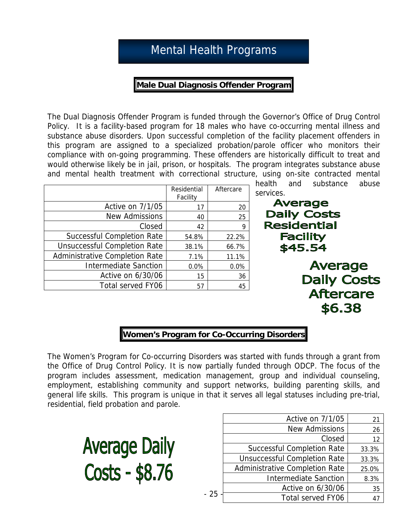# Mental Health Programs

### **Male Dual Diagnosis Offender Program**

The Dual Diagnosis Offender Program is funded through the Governor's Office of Drug Control Policy. It is a facility-based program for 18 males who have co-occurring mental illness and substance abuse disorders. Upon successful completion of the facility placement offenders in this program are assigned to a specialized probation/parole officer who monitors their compliance with on-going programming. These offenders are historically difficult to treat and would otherwise likely be in jail, prison, or hospitals. The program integrates substance abuse and mental health treatment with correctional structure, using on-site contracted mental

|                                     | Residential<br>Facility | Aftercare |
|-------------------------------------|-------------------------|-----------|
| Active on 7/1/05                    | 17                      | 20        |
| <b>New Admissions</b>               | 40                      | 25        |
| Closed                              | 42                      | 9         |
| <b>Successful Completion Rate</b>   | 54.8%                   | 22.2%     |
| <b>Unsuccessful Completion Rate</b> | 38.1%                   | 66.7%     |
| Administrative Completion Rate      | 7.1%                    | 11.1%     |
| <b>Intermediate Sanction</b>        | 0.0%                    | 0.0%      |
| Active on 6/30/06                   | 15                      | 36        |
| <b>Total served FY06</b>            | 57                      | 45        |

health and substance abuse services.

**Average Daily Costs Residential Facility** \$45.54 **Average Daily Costs Aftercare** \$6.38

### **Women's Program for Co-Occurring Disorders**

The Women's Program for Co-occurring Disorders was started with funds through a grant from the Office of Drug Control Policy. It is now partially funded through ODCP. The focus of the program includes assessment, medication management, group and individual counseling, employment, establishing community and support networks, building parenting skills, and general life skills. This program is unique in that it serves all legal statuses including pre-trial, residential, field probation and parole.

- 25 -



| Active on 7/1/05                    | 21             |
|-------------------------------------|----------------|
| <b>New Admissions</b>               | 26             |
| Closed                              | 12             |
| <b>Successful Completion Rate</b>   | 33.3%          |
| <b>Unsuccessful Completion Rate</b> | 33.3%          |
| Administrative Completion Rate      | 25.0%          |
| <b>Intermediate Sanction</b>        | 8.3%           |
| Active on 6/30/06                   | 35             |
| Total served FY06                   | $\mathbf{4}^-$ |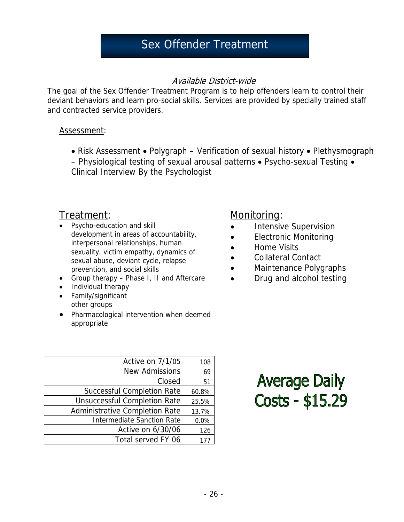# Sex Offender Treatment

### Available District-wide

The goal of the Sex Offender Treatment Program is to help offenders learn to control their deviant behaviors and learn pro-social skills. Services are provided by specially trained staff and contracted service providers.

### Assessment:

• Risk Assessment • Polygraph – Verification of sexual history • Plethysmograph – Physiological testing of sexual arousal patterns • Psycho-sexual Testing • Clinical Interview By the Psychologist

## Treatment:

- Psycho-education and skill development in areas of accountability, interpersonal relationships, human sexuality, victim empathy, dynamics of sexual abuse, deviant cycle, relapse prevention, and social skills
- Group therapy Phase I, II and Aftercare
- Individual therapy
- Family/significant other groups
- Pharmacological intervention when deemed appropriate

| Active on 7/1/05                    | 108   |
|-------------------------------------|-------|
| <b>New Admissions</b>               | 69    |
| Closed                              | 51    |
| <b>Successful Completion Rate</b>   | 60.8% |
| <b>Unsuccessful Completion Rate</b> | 25.5% |
| Administrative Completion Rate      | 13.7% |
| <b>Intermediate Sanction Rate</b>   | 0.0%  |
| Active on 6/30/06                   | 126   |
| Total served FY 06                  |       |

## Monitoring:

- Intensive Supervision
- Electronic Monitoring
- Home Visits
- Collateral Contact
- Maintenance Polygraphs
- Drug and alcohol testing

**Average Daily** Costs - \$15.29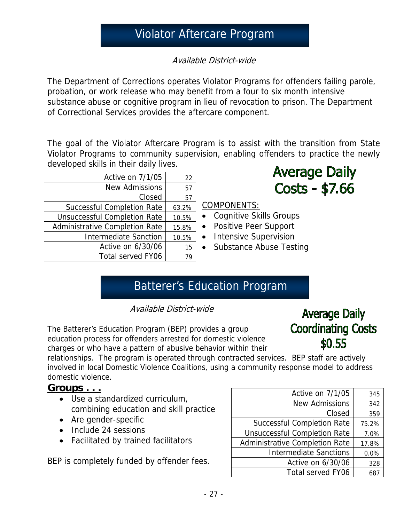# Violator Aftercare Program

Available District-wide

The Department of Corrections operates Violator Programs for offenders failing parole, probation, or work release who may benefit from a four to six month intensive substance abuse or cognitive program in lieu of revocation to prison. The Department of Correctional Services provides the aftercare component.

The goal of the Violator Aftercare Program is to assist with the transition from State Violator Programs to community supervision, enabling offenders to practice the newly developed skills in their daily lives.

| Active on 7/1/05                    | 22    |
|-------------------------------------|-------|
| <b>New Admissions</b>               | 57    |
| Closed                              | 57    |
| <b>Successful Completion Rate</b>   | 63.2% |
| <b>Unsuccessful Completion Rate</b> | 10.5% |
| Administrative Completion Rate      | 15.8% |
| <b>Intermediate Sanction</b>        | 10.5% |
| Active on 6/30/06                   | 15    |
| Total served FY06                   | 79    |

**Average Daily** Costs - \$7.66

COMPONENTS:

- Cognitive Skills Groups
- Positive Peer Support
- Intensive Supervision
- Substance Abuse Testing

# Batterer's Education Program

Available District-wide

The Batterer's Education Program (BEP) provides a group education process for offenders arrested for domestic violence charges or who have a pattern of abusive behavior within their

# **Average Daily Coordinating Costs**  $$0.55$

relationships. The program is operated through contracted services. BEP staff are actively involved in local Domestic Violence Coalitions, using a community response model to address domestic violence.

## **Groups . . .**

- Use a standardized curriculum, combining education and skill practice
- Are gender-specific
- Include 24 sessions
- Facilitated by trained facilitators

BEP is completely funded by offender fees.

| Active on 7/1/05                    | 345   |
|-------------------------------------|-------|
| <b>New Admissions</b>               | 342   |
| Closed                              | 359   |
| <b>Successful Completion Rate</b>   | 75.2% |
| <b>Unsuccessful Completion Rate</b> | 7.0%  |
| Administrative Completion Rate      | 17.8% |
| <b>Intermediate Sanctions</b>       | 0.0%  |
| Active on 6/30/06                   | 328   |
| <b>Total served FY06</b>            | 687   |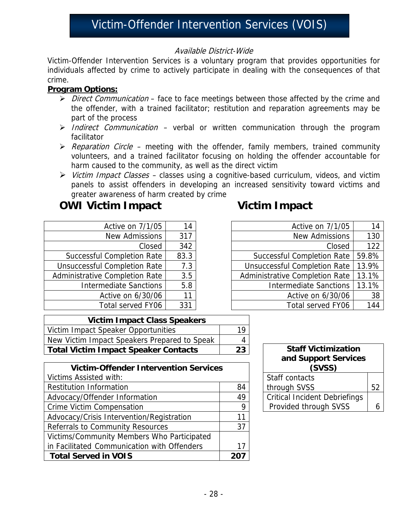# Victim-Offender Intervention Services (VOIS)

### Available District-Wide

Victim-Offender Intervention Services is a voluntary program that provides opportunities for individuals affected by crime to actively participate in dealing with the consequences of that crime.

### **Program Options:**

- $\triangleright$  *Direct Communication* face to face meetings between those affected by the crime and the offender, with a trained facilitator; restitution and reparation agreements may be part of the process
- $\triangleright$  Indirect Communication verbal or written communication through the program facilitator
- $\triangleright$  Reparation Circle meeting with the offender, family members, trained community volunteers, and a trained facilitator focusing on holding the offender accountable for harm caused to the community, as well as the direct victim
- $\triangleright$  Victim Impact Classes classes using a cognitive-based curriculum, videos, and victim panels to assist offenders in developing an increased sensitivity toward victims and greater awareness of harm created by crime

# **OWI Victim Impact COWI Victim Impact**

| Active on 7/1/05                      | 14   |
|---------------------------------------|------|
| <b>New Admissions</b>                 | 317  |
| Closed                                | 342  |
| <b>Successful Completion Rate</b>     | 83.3 |
| <b>Unsuccessful Completion Rate</b>   | 7.3  |
| <b>Administrative Completion Rate</b> | 3.5  |
| <b>Intermediate Sanctions</b>         | 5.8  |
| Active on 6/30/06                     | 11   |
| Total served FY06                     | 331  |

| Active on 7/1/05                      | 14    |
|---------------------------------------|-------|
|                                       |       |
| <b>New Admissions</b>                 | 130   |
| Closed                                | 122   |
| <b>Successful Completion Rate</b>     | 59.8% |
| <b>Unsuccessful Completion Rate</b>   | 13.9% |
| <b>Administrative Completion Rate</b> | 13.1% |
| <b>Intermediate Sanctions</b>         | 13.1% |
| Active on 6/30/06                     | 38    |
| Total served FY06                     | 144   |

| <b>Victim Impact Class Speakers</b>          |  |
|----------------------------------------------|--|
| Victim Impact Speaker Opportunities          |  |
| New Victim Impact Speakers Prepared to Speak |  |
| Total Victim Impact Speaker Contacts         |  |

| <b>Victim-Offender Intervention Services</b> |    |  |
|----------------------------------------------|----|--|
| Victims Assisted with:                       |    |  |
| <b>Restitution Information</b>               | 84 |  |
| Advocacy/Offender Information                | 49 |  |
| <b>Crime Victim Compensation</b>             | 9  |  |
| Advocacy/Crisis Intervention/Registration    | 11 |  |
| Referrals to Community Resources             | 37 |  |
| Victims/Community Members Who Participated   |    |  |
| in Facilitated Communication with Offenders  | 17 |  |
| <b>Total Served in VOIS</b>                  |    |  |

| <b>Staff Victimization</b><br>and Support Services<br>(SVSS) |    |  |  |
|--------------------------------------------------------------|----|--|--|
| Staff contacts                                               |    |  |  |
| through SVSS                                                 | 52 |  |  |
| <b>Critical Incident Debriefings</b>                         |    |  |  |
| Provided through SVSS                                        |    |  |  |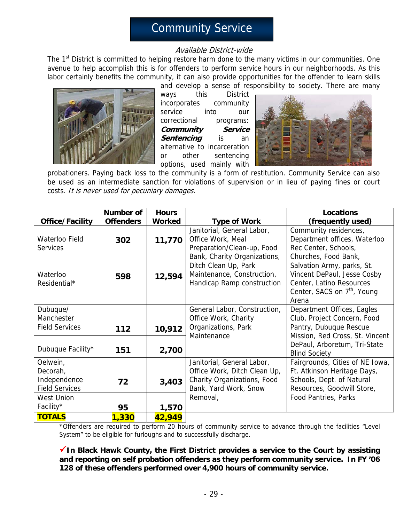# Community Service

### Available District-wide

The 1<sup>st</sup> District is committed to helping restore harm done to the many victims in our communities. One avenue to help accomplish this is for offenders to perform service hours in our neighborhoods. As this labor certainly benefits the community, it can also provide opportunities for the offender to learn skills and develop a sense of responsibility to society. There are many



ways this District incorporates community service into our correctional programs: **Community Service Sentencing** is an alternative to incarceration or other sentencing options, used mainly with



probationers. Paying back loss to the community is a form of restitution. Community Service can also be used as an intermediate sanction for violations of supervision or in lieu of paying fines or court costs. It is never used for pecuniary damages.

|                                                                                    | <b>Number of</b> | <b>Hours</b>  |                                                                                                                                | <b>Locations</b>                                                                                                                                                  |
|------------------------------------------------------------------------------------|------------------|---------------|--------------------------------------------------------------------------------------------------------------------------------|-------------------------------------------------------------------------------------------------------------------------------------------------------------------|
| Office/Facility                                                                    | <b>Offenders</b> | <b>Worked</b> | <b>Type of Work</b>                                                                                                            | (frequently used)                                                                                                                                                 |
| Waterloo Field<br><b>Services</b>                                                  | 302              | 11,770        | Janitorial, General Labor,<br>Office Work, Meal<br>Preparation/Clean-up, Food                                                  | Community residences,<br>Department offices, Waterloo<br>Rec Center, Schools,                                                                                     |
| Waterloo<br>Residential*                                                           | 598              | 12,594        | Bank, Charity Organizations,<br>Ditch Clean Up, Park<br>Maintenance, Construction,<br>Handicap Ramp construction               | Churches, Food Bank,<br>Salvation Army, parks, St.<br>Vincent DePaul, Jesse Cosby<br>Center, Latino Resources<br>Center, SACS on 7 <sup>th</sup> , Young<br>Arena |
| Dubuque/<br>Manchester<br><b>Field Services</b>                                    | 112              | 10,912        | General Labor, Construction,<br>Office Work, Charity<br>Organizations, Park                                                    | Department Offices, Eagles<br>Club, Project Concern, Food<br>Pantry, Dubuque Rescue                                                                               |
| Dubuque Facility*                                                                  | 151              | 2,700         | Maintenance                                                                                                                    | Mission, Red Cross, St. Vincent<br>DePaul, Arboretum, Tri-State<br><b>Blind Society</b>                                                                           |
| Oelwein,<br>Decorah,<br>Independence<br><b>Field Services</b><br><b>West Union</b> | 72               | 3,403         | Janitorial, General Labor,<br>Office Work, Ditch Clean Up,<br>Charity Organizations, Food<br>Bank, Yard Work, Snow<br>Removal, | Fairgrounds, Cities of NE Iowa,<br>Ft. Atkinson Heritage Days,<br>Schools, Dept. of Natural<br>Resources, Goodwill Store,<br>Food Pantries, Parks                 |
| Facility*                                                                          | 95               | 1,570         |                                                                                                                                |                                                                                                                                                                   |
| <b>TOTALS</b>                                                                      | 1,330            | 42,949        |                                                                                                                                |                                                                                                                                                                   |

\*Offenders are required to perform 20 hours of community service to advance through the facilities "Level System" to be eligible for furloughs and to successfully discharge.

9**In Black Hawk County, the First District provides a service to the Court by assisting and reporting on self probation offenders as they perform community service. In FY '06 128 of these offenders performed over 4,900 hours of community service.**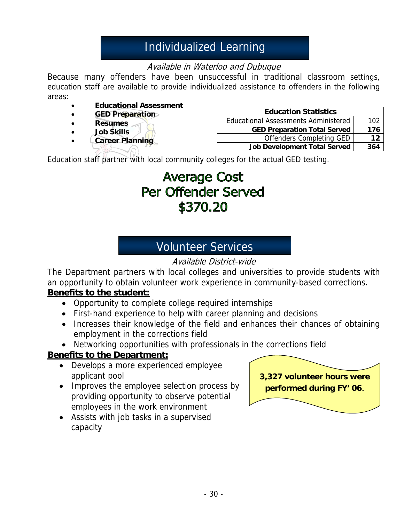# Individualized Learning

## Available in Waterloo and Dubuque

Because many offenders have been unsuccessful in traditional classroom settings, education staff are available to provide individualized assistance to offenders in the following areas:

- **Educational Assessment**
- **GED Preparation**
- **Resumes**
- **Job Skills**
- **Career Planning**

| <b>Education Statistics</b>                 |     |
|---------------------------------------------|-----|
| <b>Educational Assessments Administered</b> | 102 |
| <b>GED Preparation Total Served</b>         | 176 |
| <b>Offenders Completing GED</b>             | 12  |
| <b>Job Development Total Served</b>         | 364 |

Education staff partner with local community colleges for the actual GED testing.

# **Average Cost Per Offender Served** \$370.20

# Volunteer Services

## Available District-wide

The Department partners with local colleges and universities to provide students with an opportunity to obtain volunteer work experience in community-based corrections.

### **Benefits to the student:**

- Opportunity to complete college required internships
- First-hand experience to help with career planning and decisions
- Increases their knowledge of the field and enhances their chances of obtaining employment in the corrections field
- Networking opportunities with professionals in the corrections field

### **Benefits to the Department:**

- Develops a more experienced employee applicant pool
- Improves the employee selection process by providing opportunity to observe potential employees in the work environment
- Assists with job tasks in a supervised capacity

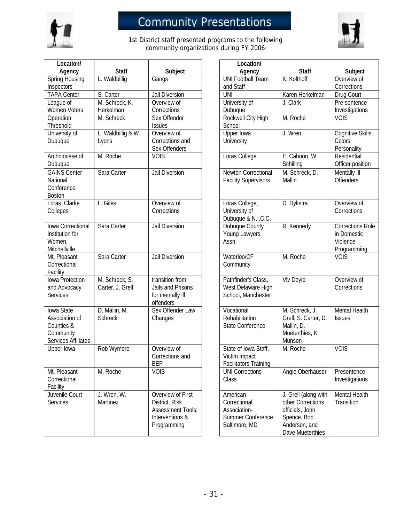

# Community Presentations



1st District staff presented programs to the following community organizations during FY 2006:

| Location/                                                                      |                                    |                                                                                            | Location/                                                                       |                                                                                                                  |                                                      |
|--------------------------------------------------------------------------------|------------------------------------|--------------------------------------------------------------------------------------------|---------------------------------------------------------------------------------|------------------------------------------------------------------------------------------------------------------|------------------------------------------------------|
| Agency                                                                         | <b>Staff</b>                       | Subject                                                                                    | Agency                                                                          | <b>Staff</b>                                                                                                     | Subjec                                               |
| Spring Housing                                                                 | L. Waldbillig                      | Gangs                                                                                      | <b>UNI Football Team</b>                                                        | K. Kolthoff                                                                                                      | Overview of                                          |
| Inspectors                                                                     |                                    |                                                                                            | and Staff                                                                       |                                                                                                                  | Corrections                                          |
| <b>TAPA Center</b>                                                             | S. Carter                          | Jail Diversion                                                                             | <b>UNI</b>                                                                      | Karen Herkelman                                                                                                  | Drug Court                                           |
| League of                                                                      | M. Schreck, K.                     | Overview of                                                                                | University of                                                                   | J. Clark                                                                                                         | Pre-senten                                           |
| Women Voters                                                                   | Herkelman                          | Corrections                                                                                | Dubuque                                                                         |                                                                                                                  | Investigatio                                         |
| Operation                                                                      | M. Schreck                         | Sex Offender                                                                               | Rockwell City High                                                              | M. Roche                                                                                                         | <b>VOIS</b>                                          |
| Threshold                                                                      |                                    | <b>Issues</b>                                                                              | School                                                                          |                                                                                                                  |                                                      |
| University of                                                                  | L. Waldbillig & W.                 | Overview of                                                                                | Upper Iowa                                                                      | J. Wren                                                                                                          | Cognitive S                                          |
| Dubuque                                                                        | Lyons                              | Corrections and<br>Sex Offenders                                                           | University                                                                      |                                                                                                                  | Colors<br>Personality                                |
| Archdiocese of<br>Dubuque                                                      | M. Roche                           | <b>VOIS</b>                                                                                | Loras College                                                                   | E. Cahoon, W.<br>Schilling                                                                                       | Residential<br>Officer posi                          |
| <b>GAINS Center</b><br>National<br>Conference<br><b>Boston</b>                 | Sara Carter                        | Jail Diversion                                                                             | Newton Correctional<br><b>Facility Supervisors</b>                              | M. Schreck, D.<br>Mallin                                                                                         | Mentally III<br><b>Offenders</b>                     |
| Loras, Clarke<br>Colleges                                                      | L. Giles                           | Overview of<br>Corrections                                                                 | Loras College,<br>University of<br>Dubuque & N.I.C.C.                           | D. Dykstra                                                                                                       | Overview of<br>Corrections                           |
| Iowa Correctional<br>Institution for<br>Women,<br>Mitchellville                | Sara Carter                        | Jail Diversion                                                                             | Dubuque County<br>Young Lawyers<br>Assn.                                        | R. Kennedy                                                                                                       | Corrections<br>in Domestic<br>Violence<br>Programmin |
| Mt. Pleasant<br>Correctional<br>Facility                                       | Sara Carter                        | Jail Diversion                                                                             | Waterloo/CF<br>Community                                                        | M. Roche                                                                                                         | <b>VOIS</b>                                          |
| lowa Protection<br>and Advocacy<br><b>Services</b>                             | M. Schreck, S.<br>Carter, J. Grell | transition from<br>Jails and Prisons<br>for mentally ill<br>offenders                      | Pathfinder's Class,<br>West Delaware High<br>School, Manchester                 | Viv Doyle                                                                                                        | Overview of<br>Corrections                           |
| Iowa State<br>Association of<br>Counties &<br>Community<br>Services Affiliates | D. Mallin, M.<br><b>Schreck</b>    | Sex Offender Law<br>Changes                                                                | Vocational<br>Rehabilitation<br>State Conference                                | M. Schreck, J.<br>Grell, S. Carter, D.<br>Mallin, D.<br>Mueterthies, K.<br>Munson                                | <b>Mental Hea</b><br><b>Issues</b>                   |
| Upper lowa                                                                     | Rob Wymore                         | Overview of<br>Corrections and<br><b>BEP</b>                                               | State of Iowa Staff,<br>Victim Impact<br><b>Facilitators Training</b>           | M. Roche                                                                                                         | <b>VOIS</b>                                          |
| Mt. Pleasant<br>Correctional<br>Facility                                       | M. Roche                           | <b>VOIS</b>                                                                                | <b>UNI Corrections</b><br>Class                                                 | Angie Oberhauser                                                                                                 | Presentenc<br>Investigatio                           |
| Juvenile Court<br>Services                                                     | J. Wren, W.<br><b>Martinez</b>     | Overview of First<br>District, Risk<br>Assessment Tools;<br>Interventions &<br>Programming | American<br>Correctional<br>Association-<br>Summer Conference,<br>Baltimore, MD | J. Grell (along with<br>other Corrections<br>officials, John<br>Spence, Bob<br>Anderson, and<br>Dave Mueterthies | Mental Hea<br>Transition                             |

| Location/                                                                       |                                                                                                                  |                                                                   |
|---------------------------------------------------------------------------------|------------------------------------------------------------------------------------------------------------------|-------------------------------------------------------------------|
| Agency                                                                          | <b>Staff</b>                                                                                                     | Subject                                                           |
| <b>UNI Football Team</b><br>and Staff                                           | K. Kolthoff                                                                                                      | Overview of<br>Corrections                                        |
| <b>UNI</b>                                                                      | Karen Herkelman                                                                                                  | Drug Court                                                        |
| University of<br>Dubuque                                                        | J. Clark                                                                                                         | Pre-sentence<br>Investigations                                    |
| Rockwell City High<br>School                                                    | M. Roche                                                                                                         | <b>VOIS</b>                                                       |
| Upper Iowa<br>University                                                        | J. Wren                                                                                                          | Cognitive Skills;<br>Colors<br>Personality                        |
| Loras College                                                                   | E. Cahoon, W.<br>Schilling                                                                                       | Residential<br>Officer position                                   |
| Newton Correctional<br><b>Facility Supervisors</b>                              | M. Schreck, D.<br>Mallin                                                                                         | Mentally III<br><b>Offenders</b>                                  |
| Loras College,<br>University of<br>Dubuque & N.I.C.C.                           | D. Dykstra                                                                                                       | Overview of<br>Corrections                                        |
| Dubuque County<br>Young Lawyers<br>Assn.                                        | R. Kennedy                                                                                                       | <b>Corrections Role</b><br>in Domestic<br>Violence<br>Programming |
| Waterloo/CF<br>Community                                                        | M. Roche                                                                                                         | <b>VOIS</b>                                                       |
| Pathfinder's Class,<br>West Delaware High<br>School, Manchester                 | Viv Doyle                                                                                                        | Overview of<br>Corrections                                        |
| Vocational<br>Rehabilitation<br><b>State Conference</b>                         | M. Schreck, J.<br>Grell, S. Carter, D.<br>Mallin, D.<br>Mueterthies, K.<br>Munson                                | <b>Mental Health</b><br><b>Issues</b>                             |
| State of Iowa Staff,<br>Victim Impact<br>Facilitators Training                  | M. Roche                                                                                                         | <b>VOIS</b>                                                       |
| <b>UNI Corrections</b><br>Class                                                 | Angie Oberhauser                                                                                                 | Presentence<br>Investigations                                     |
| American<br>Correctional<br>Association-<br>Summer Conference,<br>Baltimore, MD | J. Grell (along with<br>other Corrections<br>officials, John<br>Spence, Bob<br>Anderson, and<br>Dave Mueterthies | <b>Mental Health</b><br>Transition                                |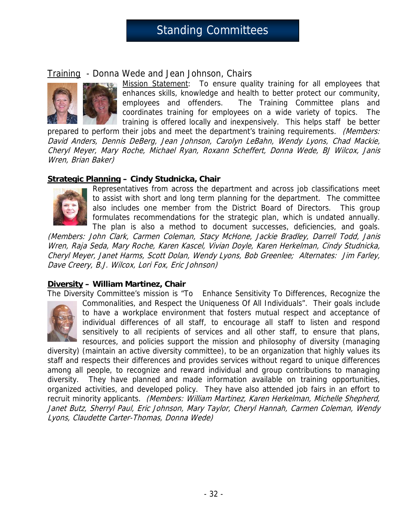# Standing Committees

### Training - Donna Wede and Jean Johnson, Chairs



Mission Statement: To ensure quality training for all employees that enhances skills, knowledge and health to better protect our community, employees and offenders. The Training Committee plans and coordinates training for employees on a wide variety of topics. The training is offered locally and inexpensively. This helps staff be better

prepared to perform their jobs and meet the department's training requirements. (Members: David Anders, Dennis DeBerg, Jean Johnson, Carolyn LeBahn, Wendy Lyons, Chad Mackie, Cheryl Meyer, Mary Roche, Michael Ryan, Roxann Scheffert, Donna Wede, BJ Wilcox, Janis Wren, Brian Baker)

### **Strategic Planning – Cindy Studnicka, Chair**



Representatives from across the department and across job classifications meet to assist with short and long term planning for the department. The committee also includes one member from the District Board of Directors. This group formulates recommendations for the strategic plan, which is undated annually. The plan is also a method to document successes, deficiencies, and goals.

(Members: John Clark, Carmen Coleman, Stacy McHone, Jackie Bradley, Darrell Todd, Janis Wren, Raja Seda, Mary Roche, Karen Kascel, Vivian Doyle, Karen Herkelman, Cindy Studnicka, Cheryl Meyer, Janet Harms, Scott Dolan, Wendy Lyons, Bob Greenlee; Alternates: Jim Farley, Dave Creery, B.J. Wilcox, Lori Fox, Eric Johnson)

### **Diversity – William Martinez, Chair**

The Diversity Committee's mission is "To Enhance Sensitivity To Differences, Recognize the



Commonalities, and Respect the Uniqueness Of All Individuals". Their goals include to have a workplace environment that fosters mutual respect and acceptance of individual differences of all staff, to encourage all staff to listen and respond sensitively to all recipients of services and all other staff, to ensure that plans, resources, and policies support the mission and philosophy of diversity (managing

diversity) (maintain an active diversity committee), to be an organization that highly values its staff and respects their differences and provides services without regard to unique differences among all people, to recognize and reward individual and group contributions to managing diversity. They have planned and made information available on training opportunities, organized activities, and developed policy. They have also attended job fairs in an effort to recruit minority applicants. (Members: William Martinez, Karen Herkelman, Michelle Shepherd, Janet Butz, Sherryl Paul, Eric Johnson, Mary Taylor, Cheryl Hannah, Carmen Coleman, Wendy Lyons, Claudette Carter-Thomas, Donna Wede)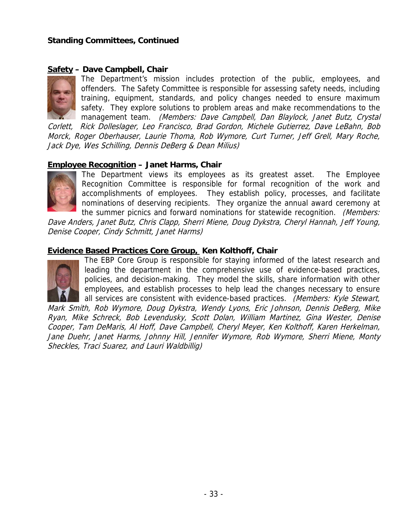### **Standing Committees, Continued**

### **Safety – Dave Campbell, Chair**



The Department's mission includes protection of the public, employees, and offenders. The Safety Committee is responsible for assessing safety needs, including training, equipment, standards, and policy changes needed to ensure maximum safety. They explore solutions to problem areas and make recommendations to the management team. (Members: Dave Campbell, Dan Blaylock, Janet Butz, Crystal

Corlett, Rick Dolleslager, Leo Francisco, Brad Gordon, Michele Gutierrez, Dave LeBahn, Bob Morck, Roger Oberhauser, Laurie Thoma, Rob Wymore, Curt Turner, Jeff Grell, Mary Roche, Jack Dye, Wes Schilling, Dennis DeBerg & Dean Milius)

### **Employee Recognition – Janet Harms, Chair**



The Department views its employees as its greatest asset. The Employee Recognition Committee is responsible for formal recognition of the work and accomplishments of employees. They establish policy, processes, and facilitate nominations of deserving recipients. They organize the annual award ceremony at the summer picnics and forward nominations for statewide recognition. (Members:

Dave Anders, Janet Butz, Chris Clapp, Sherri Miene, Doug Dykstra, Cheryl Hannah, Jeff Young, Denise Cooper, Cindy Schmitt, Janet Harms)

### **Evidence Based Practices Core Group, Ken Kolthoff, Chair**



The EBP Core Group is responsible for staying informed of the latest research and leading the department in the comprehensive use of evidence-based practices, policies, and decision-making. They model the skills, share information with other employees, and establish processes to help lead the changes necessary to ensure all services are consistent with evidence-based practices. (Members: Kyle Stewart,

Mark Smith, Rob Wymore, Doug Dykstra, Wendy Lyons, Eric Johnson, Dennis DeBerg, Mike Ryan, Mike Schreck, Bob Levendusky, Scott Dolan, William Martinez, Gina Wester, Denise Cooper, Tam DeMaris, Al Hoff, Dave Campbell, Cheryl Meyer, Ken Kolthoff, Karen Herkelman, Jane Duehr, Janet Harms, Johnny Hill, Jennifer Wymore, Rob Wymore, Sherri Miene, Monty Sheckles, Traci Suarez, and Lauri Waldbillig)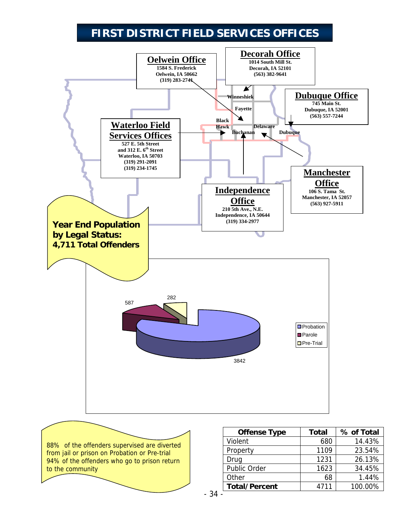# **FIRST DISTRICT FIELD SERVICES OFFICES**



88% of the offenders supervised are diverted from jail or prison on Probation or Pre-trial 94% of the offenders who go to prison return to the community

| <b>Offense Type</b>  | <b>Total</b> | % of Total |
|----------------------|--------------|------------|
| Violent              | 680          | 14.43%     |
| Property             | 1109         | 23.54%     |
| Drug                 | 1231         | 26.13%     |
| Public Order         | 1623         | 34.45%     |
| Other                | 68           | 1.44%      |
| <b>Total/Percent</b> | 4711         | 100.00%    |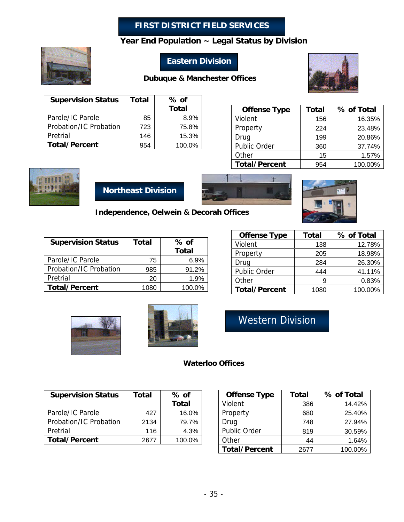### **FIRST DISTRICT FIELD SERVICES**

### **Year End Population ~ Legal Status by Division**



## **Eastern Division**

### **Dubuque & Manchester Offices**



| <b>Supervision Status</b> | Total | % of   |
|---------------------------|-------|--------|
|                           |       | Total  |
| Parole/IC Parole          | 85    | 8.9%   |
| Probation/IC Probation    | 723   | 75.8%  |
| Pretrial                  | 146   | 15.3%  |
| <b>Total/Percent</b>      | 954   | 100.0% |

| <b>Offense Type</b>  | <b>Total</b> | % of Total |
|----------------------|--------------|------------|
| Violent              | 156          | 16.35%     |
| Property             | 224          | 23.48%     |
| Drug                 | 199          | 20.86%     |
| Public Order         | 360          | 37.74%     |
| Other                | 15           | 1.57%      |
| <b>Total/Percent</b> | 954          | 100.00%    |







**Independence, Oelwein & Decorah Offices**

| <b>Supervision Status</b> | Total | % of         |
|---------------------------|-------|--------------|
|                           |       | <b>Total</b> |
| Parole/IC Parole          | 75    | 6.9%         |
| Probation/IC Probation    | 985   | 91.2%        |
| Pretrial                  | 20    | 1.9%         |
| <b>Total/Percent</b>      | 1080  | 100.0%       |

| <b>Offense Type</b>  | <b>Total</b> | % of Total |
|----------------------|--------------|------------|
| Violent              | 138          | 12.78%     |
| Property             | 205          | 18.98%     |
| Drug                 | 284          | 26.30%     |
| Public Order         | 444          | 41.11%     |
| Other                |              | 0.83%      |
| <b>Total/Percent</b> | 1080         | 100.00%    |





Western Division

### **Waterloo Offices**

| <b>Supervision Status</b> | Total | $%$ of       |
|---------------------------|-------|--------------|
|                           |       | <b>Total</b> |
| Parole/IC Parole          | 427   | 16.0%        |
| Probation/IC Probation    | 2134  | 79.7%        |
| Pretrial                  | 116   | 4.3%         |
| <b>Total/Percent</b>      | 2677  | 100.0%       |

| <b>Offense Type</b>  | <b>Total</b> | % of Total |
|----------------------|--------------|------------|
| Violent              | 386          | 14.42%     |
| Property             | 680          | 25.40%     |
| Drug                 | 748          | 27.94%     |
| Public Order         | 819          | 30.59%     |
| Other                | 44           | 1.64%      |
| <b>Total/Percent</b> | 2677         | 100.00%    |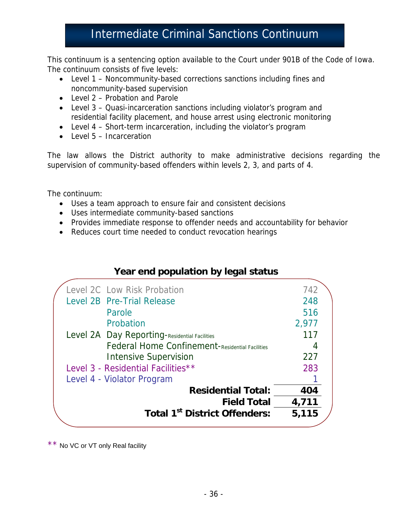# Intermediate Criminal Sanctions Continuum

This continuum is a sentencing option available to the Court under 901B of the Code of Iowa. The continuum consists of five levels:

- Level 1 Noncommunity-based corrections sanctions including fines and noncommunity-based supervision
- Level 2 Probation and Parole
- Level 3 Quasi-incarceration sanctions including violator's program and residential facility placement, and house arrest using electronic monitoring
- Level 4 Short-term incarceration, including the violator's program
- Level 5 Incarceration

The law allows the District authority to make administrative decisions regarding the supervision of community-based offenders within levels 2, 3, and parts of 4.

The continuum:

- Uses a team approach to ensure fair and consistent decisions
- Uses intermediate community-based sanctions
- Provides immediate response to offender needs and accountability for behavior
- Reduces court time needed to conduct revocation hearings

## **Year end population by legal status**

| <b>Total 1st District Offenders:</b>            | 5,115 |
|-------------------------------------------------|-------|
| <b>Field Total</b>                              | 4,711 |
| <b>Residential Total:</b>                       | 404   |
| Level 4 - Violator Program                      |       |
| Level 3 - Residential Facilities**              | 283   |
| <b>Intensive Supervision</b>                    | 227   |
| Federal Home Confinement-Residential Facilities | 4     |
| Level 2A Day Reporting-Residential Facilities   | 117   |
| Probation                                       | 2,977 |
| Parole                                          | 516   |
| Level 2B Pre-Trial Release                      | 248   |
| Level 2C Low Risk Probation                     | 742   |
|                                                 |       |

\* \* No VC or VT only Real facility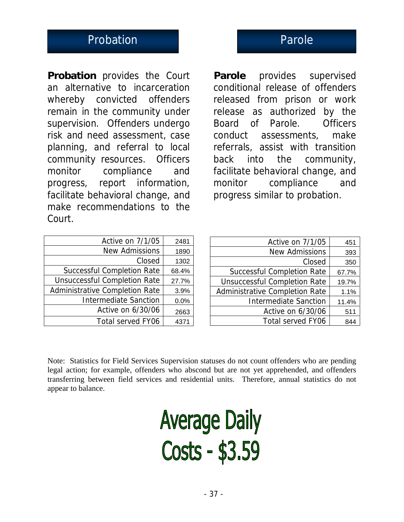# Probation **Probation** Parole

**Probation** provides the Court an alternative to incarceration whereby convicted offenders remain in the community under supervision. Offenders undergo risk and need assessment, case planning, and referral to local community resources. Officers monitor compliance and progress, report information, facilitate behavioral change, and make recommendations to the Court.

**Parole** provides supervised conditional release of offenders released from prison or work release as authorized by the Board of Parole. Officers conduct assessments, make referrals, assist with transition back into the community, facilitate behavioral change, and monitor compliance and progress similar to probation.

| Active on 7/1/05                      | 2481  |
|---------------------------------------|-------|
| <b>New Admissions</b>                 | 1890  |
| Closed                                | 1302  |
| <b>Successful Completion Rate</b>     | 68.4% |
| <b>Unsuccessful Completion Rate</b>   | 27.7% |
| <b>Administrative Completion Rate</b> | 3.9%  |
| <b>Intermediate Sanction</b>          | 0.0%  |
| Active on 6/30/06                     | 2663  |
| <b>Total served FY06</b>              | 4371  |

| Active on 7/1/05                    | 451   |
|-------------------------------------|-------|
| <b>New Admissions</b>               | 393   |
| Closed                              | 350   |
| <b>Successful Completion Rate</b>   | 67.7% |
| <b>Unsuccessful Completion Rate</b> | 19.7% |
| Administrative Completion Rate      | 1.1%  |
| <b>Intermediate Sanction</b>        | 11.4% |
| Active on 6/30/06                   | 511   |
| <b>Total served FY06</b>            | 844   |

Note: Statistics for Field Services Supervision statuses do not count offenders who are pending legal action; for example, offenders who abscond but are not yet apprehended, and offenders transferring between field services and residential units. Therefore, annual statistics do not appear to balance.

**Average Daily** Costs - \$3.59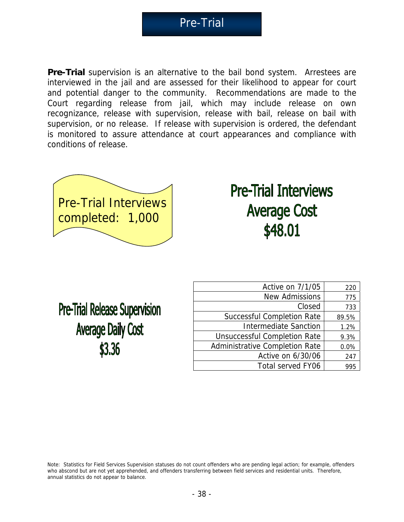Pre-Trial

**Pre-Trial** supervision is an alternative to the bail bond system. Arrestees are interviewed in the jail and are assessed for their likelihood to appear for court and potential danger to the community. Recommendations are made to the Court regarding release from jail, which may include release on own recognizance, release with supervision, release with bail, release on bail with supervision, or no release. If release with supervision is ordered, the defendant is monitored to assure attendance at court appearances and compliance with conditions of release.



# **Pre-Trial Interviews Average Cost** \$48.01

**Pre-Trial Release Supervision Average Daily Cost** \$3.36

| Active on 7/1/05                      | 220   |
|---------------------------------------|-------|
| <b>New Admissions</b>                 | 775   |
| Closed                                | 733   |
| <b>Successful Completion Rate</b>     | 89.5% |
| <b>Intermediate Sanction</b>          | 1.2%  |
| <b>Unsuccessful Completion Rate</b>   | 9.3%  |
| <b>Administrative Completion Rate</b> | 0.0%  |
| Active on 6/30/06                     | 247   |
| <b>Total served FY06</b>              | 995   |

Note: Statistics for Field Services Supervision statuses do not count offenders who are pending legal action; for example, offenders who abscond but are not yet apprehended, and offenders transferring between field services and residential units. Therefore, annual statistics do not appear to balance.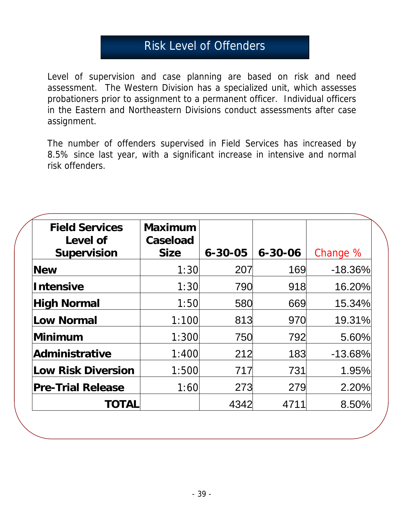# Risk Level of Offenders

Level of supervision and case planning are based on risk and need assessment. The Western Division has a specialized unit, which assesses probationers prior to assignment to a permanent officer. Individual officers in the Eastern and Northeastern Divisions conduct assessments after case assignment.

The number of offenders supervised in Field Services has increased by 8.5% since last year, with a significant increase in intensive and normal risk offenders.

| <b>Field Services</b><br>Level of<br><b>Supervision</b> | <b>Maximum</b><br>Caseload<br><b>Size</b> | $6 - 30 - 05$ | $6 - 30 - 06$ | Change %  |
|---------------------------------------------------------|-------------------------------------------|---------------|---------------|-----------|
| <b>New</b>                                              | 1:30                                      | 207           | 169           | $-18.36%$ |
| <b>Intensive</b>                                        | 1:30                                      | 790           | 918           | 16.20%    |
| <b>High Normal</b>                                      | 1:50                                      | 580           | 669           | 15.34%    |
| Low Normal                                              | 1:100                                     | 813           | 970           | 19.31%    |
| Minimum                                                 | 1:300                                     | 750           | 792           | 5.60%     |
| Administrative                                          | 1:400                                     | 212           | 183           | $-13.68%$ |
| Low Risk Diversion                                      | 1:500                                     | 717           | 731           | 1.95%     |
| <b>Pre-Trial Release</b>                                | 1:60                                      | 273           | 279           | 2.20%     |
| TOTAL                                                   |                                           | 4342          | 4711          | 8.50%     |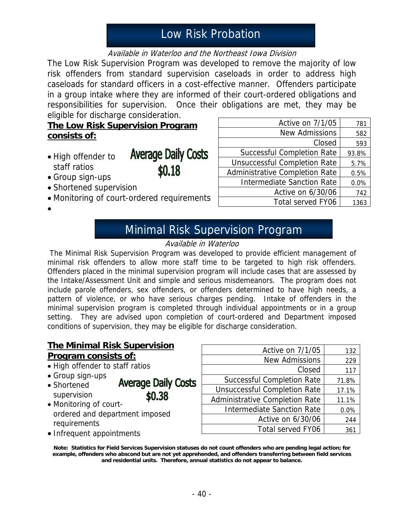# Low Risk Probation

### Available in Waterloo and the Northeast Iowa Division

The Low Risk Supervision Program was developed to remove the majority of low risk offenders from standard supervision caseloads in order to address high caseloads for standard officers in a cost-effective manner. Offenders participate in a group intake where they are informed of their court-ordered obligations and responsibilities for supervision. Once their obligations are met, they may be eligible for discharge consideration.

**The Low Risk Supervision Program consists of:**

• High offender to staff ratios

**Average Daily Costs** \$0.18

- Group sign-ups
- Shortened supervision
- Monitoring of court-ordered requirements
- •

| Active on 7/1/05                      | 781   |
|---------------------------------------|-------|
| <b>New Admissions</b>                 | 582   |
| Closed                                | 593   |
| <b>Successful Completion Rate</b>     | 93.8% |
| <b>Unsuccessful Completion Rate</b>   | 5.7%  |
| <b>Administrative Completion Rate</b> | 0.5%  |
| <b>Intermediate Sanction Rate</b>     | 0.0%  |
| Active on 6/30/06                     | 742   |
| <b>Total served FY06</b>              | 1363  |

# Minimal Risk Supervision Program

### Available in Waterloo

 The Minimal Risk Supervision Program was developed to provide efficient management of minimal risk offenders to allow more staff time to be targeted to high risk offenders. Offenders placed in the minimal supervision program will include cases that are assessed by the Intake/Assessment Unit and simple and serious misdemeanors. The program does not include parole offenders, sex offenders, or offenders determined to have high needs, a pattern of violence, or who have serious charges pending. Intake of offenders in the minimal supervision program is completed through individual appointments or in a group setting. They are advised upon completion of court-ordered and Department imposed conditions of supervision, they may be eligible for discharge consideration.

### **The Minimal Risk Supervision Program consists of:**

- High offender to staff ratios
- Group sign-ups
- **Average Daily Costs** • Shortened supervision \$0.38
- Monitoring of courtordered and department imposed requirements
- Infrequent appointments

| Active on 7/1/05                      | 132   |
|---------------------------------------|-------|
| <b>New Admissions</b>                 | 229   |
| Closed                                | 117   |
| <b>Successful Completion Rate</b>     | 71.8% |
| <b>Unsuccessful Completion Rate</b>   | 17.1% |
| <b>Administrative Completion Rate</b> | 11.1% |
| <b>Intermediate Sanction Rate</b>     | 0.0%  |
| Active on 6/30/06                     | 244   |
| <b>Total served FY06</b>              | 361   |

**Note: Statistics for Field Services Supervision statuses do not count offenders who are pending legal action; for example, offenders who abscond but are not yet apprehended, and offenders transferring between field services and residential units. Therefore, annual statistics do not appear to balance.**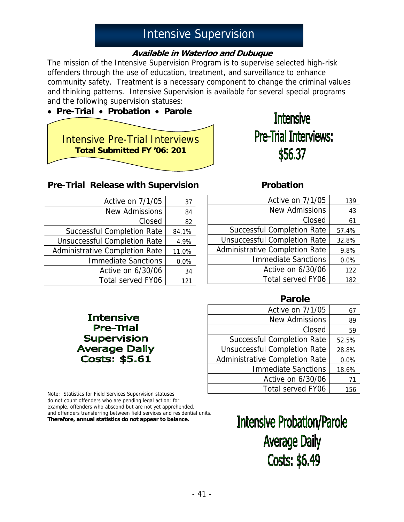# Intensive Supervision

### **Available in Waterloo and Dubuque**

The mission of the Intensive Supervision Program is to supervise selected high-risk offenders through the use of education, treatment, and surveillance to enhance community safety. Treatment is a necessary component to change the criminal values and thinking patterns. Intensive Supervision is available for several special programs and the following supervision statuses:

# • **Pre-Trial** • **Probation** • **Parole**  Intensive Pre-Trial Interviews **Total Submitted FY '06: 201**

# **Intensive Pre-Trial Interviews:** \$56.37

### **Pre-Trial Release with Supervision <b>Probation**

| Active on 7/1/05                      | 37    |
|---------------------------------------|-------|
| <b>New Admissions</b>                 | 84    |
| Closed                                | 82    |
| <b>Successful Completion Rate</b>     | 84.1% |
| <b>Unsuccessful Completion Rate</b>   | 4.9%  |
| <b>Administrative Completion Rate</b> | 11.0% |
| <b>Immediate Sanctions</b>            | 0.0%  |
| Active on 6/30/06                     | 34    |
| <b>Total served FY06</b>              | 121   |

**Intensive Pre-Trial Supervision Average Daily Costs: \$5.61** 

| Active on 7/1/05                    | 139   |
|-------------------------------------|-------|
| <b>New Admissions</b>               | 43    |
| Closed                              | 61    |
| <b>Successful Completion Rate</b>   | 57.4% |
| <b>Unsuccessful Completion Rate</b> | 32.8% |
| Administrative Completion Rate      | 9.8%  |
| <b>Immediate Sanctions</b>          | 0.0%  |
| Active on 6/30/06                   | 122   |
| <b>Total served FY06</b>            | 182   |

### **Parole**

| Active on 7/1/05                    | 67    |
|-------------------------------------|-------|
| <b>New Admissions</b>               | 89    |
| Closed                              | 59    |
| <b>Successful Completion Rate</b>   | 52.5% |
| <b>Unsuccessful Completion Rate</b> | 28.8% |
| Administrative Completion Rate      | 0.0%  |
| <b>Immediate Sanctions</b>          | 18.6% |
| Active on 6/30/06                   | 71    |
| <b>Total served FY06</b>            | 156   |

Note: Statistics for Field Services Supervision statuses do not count offenders who are pending legal action; for example, offenders who abscond but are not yet apprehended, and offenders transferring between field services and residential units. **Therefore, annual statistics do not appear to balance.**

**Intensive Probation/Parole Average Daily** Costs: \$6.49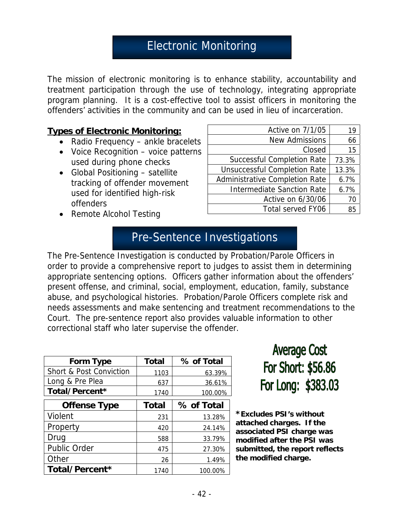# Electronic Monitoring

The mission of electronic monitoring is to enhance stability, accountability and treatment participation through the use of technology, integrating appropriate program planning. It is a cost-effective tool to assist officers in monitoring the offenders' activities in the community and can be used in lieu of incarceration.

### **Types of Electronic Monitoring:**

- Radio Frequency ankle bracelets
- Voice Recognition voice patterns used during phone checks
- Global Positioning satellite tracking of offender movement used for identified high-risk offenders
- Remote Alcohol Testing

| Active on 7/1/05                    | 19    |
|-------------------------------------|-------|
| <b>New Admissions</b>               | 66    |
| Closed                              | 15    |
| <b>Successful Completion Rate</b>   | 73.3% |
| <b>Unsuccessful Completion Rate</b> | 13.3% |
| Administrative Completion Rate      | 6.7%  |
| <b>Intermediate Sanction Rate</b>   | 6.7%  |
| Active on 6/30/06                   | 70    |
| <b>Total served FY06</b>            | 85    |

# Pre-Sentence Investigations

The Pre-Sentence Investigation is conducted by Probation/Parole Officers in order to provide a comprehensive report to judges to assist them in determining appropriate sentencing options. Officers gather information about the offenders' present offense, and criminal, social, employment, education, family, substance abuse, and psychological histories. Probation/Parole Officers complete risk and needs assessments and make sentencing and treatment recommendations to the Court. The pre-sentence report also provides valuable information to other correctional staff who later supervise the offender.

| Form Type                          | <b>Total</b> | % of Total |
|------------------------------------|--------------|------------|
| <b>Short &amp; Post Conviction</b> | 1103         | 63.39%     |
| Long & Pre Plea                    | 637          | 36.61%     |
| Total/Percent*                     | 1740         | 100.00%    |
| <b>Offense Type</b>                | <b>Total</b> | % of Total |
| Violent                            | 231          | 13.28%     |
| Property                           | 420          | 24.14%     |
| Drug                               | 588          | 33.79%     |
| <b>Public Order</b>                | 475          | 27.30%     |
| Other                              | 26           | 1.49%      |
| Total/Percent*                     | 1740         | 100.00%    |

**Average Cost** For Short: \$56.86 For Long: \$383.03

**\*Excludes PSI's without attached charges. If the associated PSI charge was modified after the PSI was submitted, the report reflects the modified charge.**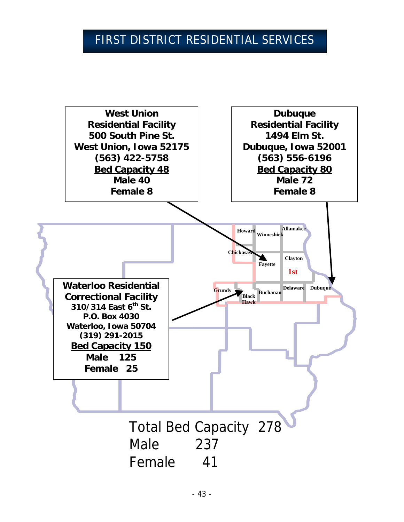# FIRST DISTRICT RESIDENTIAL SERVICES

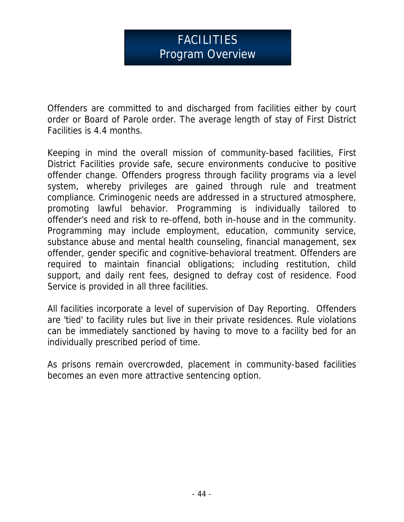# FACILITIES Program Overview

Offenders are committed to and discharged from facilities either by court order or Board of Parole order. The average length of stay of First District Facilities is 4.4 months.

Keeping in mind the overall mission of community-based facilities, First District Facilities provide safe, secure environments conducive to positive offender change. Offenders progress through facility programs via a level system, whereby privileges are gained through rule and treatment compliance. Criminogenic needs are addressed in a structured atmosphere, promoting lawful behavior. Programming is individually tailored to offender's need and risk to re-offend, both in-house and in the community. Programming may include employment, education, community service, substance abuse and mental health counseling, financial management, sex offender, gender specific and cognitive-behavioral treatment. Offenders are required to maintain financial obligations; including restitution, child support, and daily rent fees, designed to defray cost of residence. Food Service is provided in all three facilities.

All facilities incorporate a level of supervision of Day Reporting. Offenders are 'tied' to facility rules but live in their private residences. Rule violations can be immediately sanctioned by having to move to a facility bed for an individually prescribed period of time.

As prisons remain overcrowded, placement in community-based facilities becomes an even more attractive sentencing option.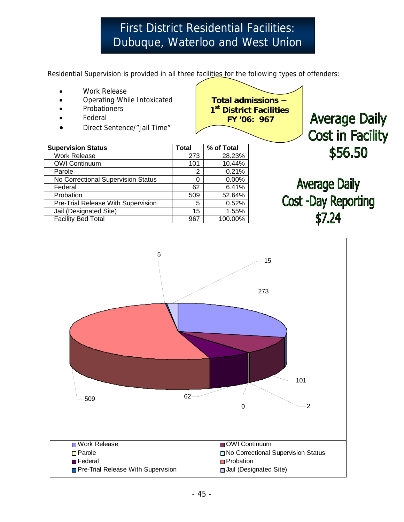# **First District Residential Facilities:** Dubuque, Waterloo and West Union

Residential Supervision is provided in all three facilities for the following types of offenders:

- Work Release
- Operating While Intoxicated
- **Probationers**
- **Federal**
- Direct Sentence/"Jail Time"



| <b>Supervision Status</b>          | <b>Total</b> | % of Total |
|------------------------------------|--------------|------------|
| <b>Work Release</b>                | 273          | 28.23%     |
| <b>OWI Continuum</b>               | 101          | 10.44%     |
| Parole                             | 2            | 0.21%      |
| No Correctional Supervision Status | O            | 0.00%      |
| Federal                            | 62           | 6.41%      |
| Probation                          | 509          | 52.64%     |
| Pre-Trial Release With Supervision | 5            | 0.52%      |
| Jail (Designated Site)             | 15           | 1.55%      |
| <b>Facility Bed Total</b>          | 967          | 100.00%    |

**Average Daily Cost in Facility** \$56.50

**Average Daily Cost -Day Reporting**  $$7.24$ 

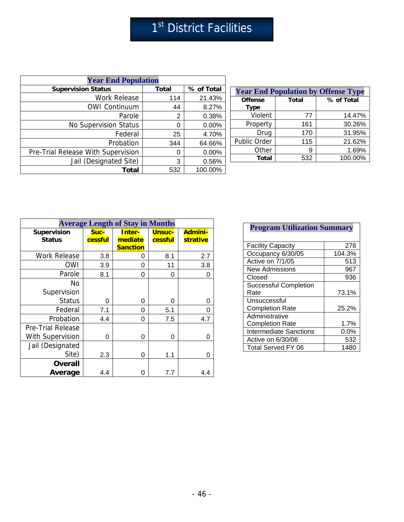# 1st District Facilities

| <b>Year End Population</b>         |              |            |  |
|------------------------------------|--------------|------------|--|
| <b>Supervision Status</b>          | <b>Total</b> | % of Total |  |
| <b>Work Release</b>                | 114          | 21.43%     |  |
| <b>OWI Continuum</b>               | 44           | 8.27%      |  |
| Parole                             | 2            | 0.38%      |  |
| <b>No Supervision Status</b>       | U            | 0.00%      |  |
| Federal                            | 25           | 4.70%      |  |
| Probation                          | 344          | 64.66%     |  |
| Pre-Trial Release With Supervision | Ω            | 0.00%      |  |
| Jail (Designated Site)             | 3            | 0.56%      |  |
| Total                              | 532          | 100.00%    |  |

| <b>Year End Population by Offense Type</b> |              |            |  |  |
|--------------------------------------------|--------------|------------|--|--|
| <b>Offense</b><br><b>Type</b>              | <b>Total</b> | % of Total |  |  |
| Violent                                    | 77           | 14.47%     |  |  |
| Property                                   | 161          | 30.26%     |  |  |
| Drug                                       | 170          | 31.95%     |  |  |
| Public Order                               | 115          | 21.62%     |  |  |
| Other                                      | 9            | 1.69%      |  |  |
| <b>Total</b>                               | 532          | 100.00%    |  |  |

| <b>Average Length of Stay in Months</b>             |                 |                                      |                          |                            |
|-----------------------------------------------------|-----------------|--------------------------------------|--------------------------|----------------------------|
| Supervision<br><b>Status</b>                        | Suc-<br>cessful | Inter-<br>mediate<br><b>Sanction</b> | <b>Unsuc-</b><br>cessful | <b>Admini-</b><br>strative |
| <b>Work Release</b>                                 | 3.8             | 0                                    | 8.1                      | 2.7                        |
| OWI                                                 | 3.9             | 0                                    | 11                       | 3.8                        |
| Parole                                              | 8.1             | 0                                    | 0                        | 0                          |
| No<br>Supervision                                   |                 |                                      |                          |                            |
| <b>Status</b>                                       | 0               | 0                                    | 0                        | 0                          |
| Federal                                             | 7.1             | 0                                    | 5.1                      | 0                          |
| Probation                                           | 4.4             | 0                                    | 7.5                      | 4.7                        |
| <b>Pre-Trial Release</b><br><b>With Supervision</b> | 0               | 0                                    | 0                        | 0                          |
| Jail (Designated<br>Site)                           | 2.3             | 0                                    | 1.1                      | 0                          |
| <b>Overall</b><br>Average                           | 4.4             |                                      | 7.7                      | 4.4                        |

## **Program Utilization Summary**

| <b>Facility Capacity</b>      | 278     |
|-------------------------------|---------|
| Occupancy 6/30/05             | 104.3%  |
| Active on 7/1/05              | 513     |
| <b>New Admissions</b>         | 967     |
| Closed                        | 936     |
| <b>Successful Completion</b>  |         |
| Rate                          | 73.1%   |
| Unsuccessful                  |         |
| <b>Completion Rate</b>        | 25.2%   |
| Administrative                |         |
| <b>Completion Rate</b>        | 1.7%    |
| <b>Intermediate Sanctions</b> | $0.0\%$ |
| Active on 6/30/06             | 532     |
| Total Served FY 06            | 1480    |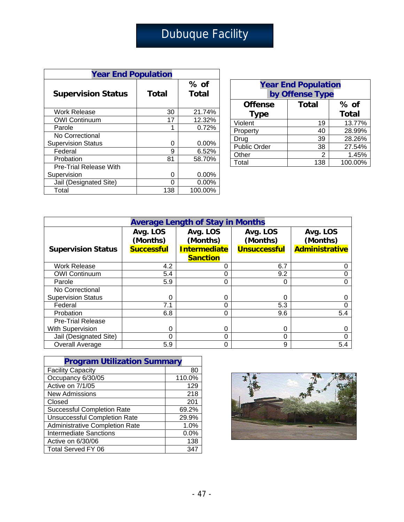# Dubuque Facility

| <b>Year End Population</b>    |       |          |  |  |
|-------------------------------|-------|----------|--|--|
|                               |       | % of     |  |  |
| <b>Supervision Status</b>     | Total | Total    |  |  |
|                               |       |          |  |  |
| <b>Work Release</b>           | 30    | 21.74%   |  |  |
| <b>OWI Continuum</b>          | 17    | 12.32%   |  |  |
| Parole                        |       | 0.72%    |  |  |
| No Correctional               |       |          |  |  |
| <b>Supervision Status</b>     | O     | 0.00%    |  |  |
| Federal                       | 9     | 6.52%    |  |  |
| Probation                     | 81    | 58.70%   |  |  |
| <b>Pre-Trial Release With</b> |       |          |  |  |
| Supervision                   | O     | $0.00\%$ |  |  |
| Jail (Designated Site)        |       | $0.00\%$ |  |  |
| Total                         | 138   | 100.00%  |  |  |

| <b>Year End Population</b><br>by Offense Type |              |              |  |
|-----------------------------------------------|--------------|--------------|--|
| <b>Offense</b>                                | <b>Total</b> | $%$ of       |  |
| <b>Type</b>                                   |              | <b>Total</b> |  |
| Violent                                       | 19           | 13.77%       |  |
| Property                                      | 40           | 28.99%       |  |
| Drug                                          | 39           | 28.26%       |  |
| Public Order                                  | 38           | 27.54%       |  |
| Other                                         | 2            | 1.45%        |  |
| Total                                         | 138          | 100.00%      |  |

| <b>Average Length of Stay in Months</b> |                      |                      |                      |                       |  |
|-----------------------------------------|----------------------|----------------------|----------------------|-----------------------|--|
|                                         | Avg. LOS<br>(Months) | Avg. LOS<br>(Months) | Avg. LOS<br>(Months) | Avg. LOS<br>(Months)  |  |
| <b>Supervision Status</b>               | <b>Successful</b>    | <b>Intermediate</b>  | <b>Unsuccessful</b>  | <b>Administrative</b> |  |
|                                         |                      | <b>Sanction</b>      |                      |                       |  |
| <b>Work Release</b>                     | 4.2                  | 0                    | 6.7                  | 0                     |  |
| <b>OWI Continuum</b>                    | 5.4                  | 0                    | 9.2                  |                       |  |
| Parole                                  | 5.9                  | 0                    | 0                    | 0                     |  |
| No Correctional                         |                      |                      |                      |                       |  |
| <b>Supervision Status</b>               | $\Omega$             | 0                    | 0                    | 0                     |  |
| Federal                                 | 7.1                  | 0                    | 5.3                  | 0                     |  |
| Probation                               | 6.8                  | 0                    | 9.6                  | 5.4                   |  |
| <b>Pre-Trial Release</b>                |                      |                      |                      |                       |  |
| With Supervision                        | 0                    | 0                    | 0                    |                       |  |
| Jail (Designated Site)                  | $\Omega$             | 0                    | 0                    |                       |  |
| <b>Overall Average</b>                  | 5.9                  | 0                    | 9                    | 5.4                   |  |

| <b>Program Utilization Summary</b>    |        |  |  |
|---------------------------------------|--------|--|--|
| <b>Facility Capacity</b>              | 80     |  |  |
| Occupancy 6/30/05                     | 110.0% |  |  |
| Active on 7/1/05                      | 129    |  |  |
| <b>New Admissions</b>                 | 218    |  |  |
| Closed                                | 201    |  |  |
| <b>Successful Completion Rate</b>     | 69.2%  |  |  |
| <b>Unsuccessful Completion Rate</b>   | 29.9%  |  |  |
| <b>Administrative Completion Rate</b> | 1.0%   |  |  |
| <b>Intermediate Sanctions</b>         | 0.0%   |  |  |
| Active on 6/30/06                     | 138    |  |  |
| Total Served FY 06                    | 347    |  |  |

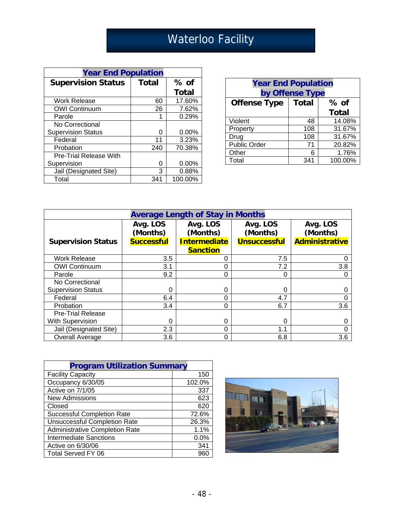# Waterloo Facility

| <b>Year End Population</b>    |              |          |  |  |
|-------------------------------|--------------|----------|--|--|
| <b>Supervision Status</b>     | <b>Total</b> | $%$ of   |  |  |
|                               |              | Total    |  |  |
| <b>Work Release</b>           | 60           | 17.60%   |  |  |
| <b>OWI Continuum</b>          | 26           | 7.62%    |  |  |
| Parole                        | 1            | 0.29%    |  |  |
| No Correctional               |              |          |  |  |
| <b>Supervision Status</b>     | ი            | 0.00%    |  |  |
| Federal                       | 11           | 3.23%    |  |  |
| Probation                     | 240          | 70.38%   |  |  |
| <b>Pre-Trial Release With</b> |              |          |  |  |
| Supervision                   | ი            | $0.00\%$ |  |  |
| Jail (Designated Site)        | 3            | 0.88%    |  |  |
| Total                         | 341          | 100.00%  |  |  |

| <b>Year End Population</b><br>by Offense Type |              |              |  |
|-----------------------------------------------|--------------|--------------|--|
| <b>Offense Type</b>                           | <b>Total</b> | $%$ of       |  |
|                                               |              | <b>Total</b> |  |
| Violent                                       | 48           | 14.08%       |  |
| Property                                      | 108          | 31.67%       |  |
| Drug                                          | 108          | 31.67%       |  |
| Public Order                                  | 71           | 20.82%       |  |
| Other                                         | 6            | 1.76%        |  |
| Total                                         | 341          | 100.00%      |  |

| <b>Average Length of Stay in Months</b> |                      |                      |                      |                       |  |
|-----------------------------------------|----------------------|----------------------|----------------------|-----------------------|--|
|                                         | Avg. LOS<br>(Months) | Avg. LOS<br>(Months) | Avg. LOS<br>(Months) | Avg. LOS<br>(Months)  |  |
| <b>Supervision Status</b>               | <b>Successful</b>    | <b>Intermediate</b>  | <b>Unsuccessful</b>  | <b>Administrative</b> |  |
|                                         |                      | <b>Sanction</b>      |                      |                       |  |
| <b>Work Release</b>                     | 3.5                  | 0                    | 7.5                  |                       |  |
| <b>OWI Continuum</b>                    | 3.1                  | 0                    | 7.2                  | 3.8                   |  |
| Parole                                  | 9.2                  | 0                    | 0                    |                       |  |
| No Correctional                         |                      |                      |                      |                       |  |
| <b>Supervision Status</b>               | 0                    | 0                    | 0                    |                       |  |
| Federal                                 | 6.4                  | 0                    | 4.7                  |                       |  |
| Probation                               | 3.4                  | 0                    | 6.7                  | 3.6                   |  |
| <b>Pre-Trial Release</b>                |                      |                      |                      |                       |  |
| <b>With Supervision</b>                 | $\Omega$             | 0                    | 0                    |                       |  |
| Jail (Designated Site)                  | 2.3                  | 0                    | 1.1                  |                       |  |
| <b>Overall Average</b>                  | 3.6                  | 0                    | 6.8                  | 3.6                   |  |

| <b>Program Utilization Summary</b>    |        |  |
|---------------------------------------|--------|--|
| <b>Facility Capacity</b>              | 150    |  |
| Occupancy 6/30/05                     | 102.0% |  |
| Active on 7/1/05                      | 337    |  |
| <b>New Admissions</b>                 | 623    |  |
| Closed                                | 620    |  |
| <b>Successful Completion Rate</b>     | 72.6%  |  |
| <b>Unsuccessful Completion Rate</b>   | 26.3%  |  |
| <b>Administrative Completion Rate</b> | 1.1%   |  |
| <b>Intermediate Sanctions</b>         | 0.0%   |  |
| Active on 6/30/06                     | 341    |  |
| Total Served FY 06                    | 960    |  |

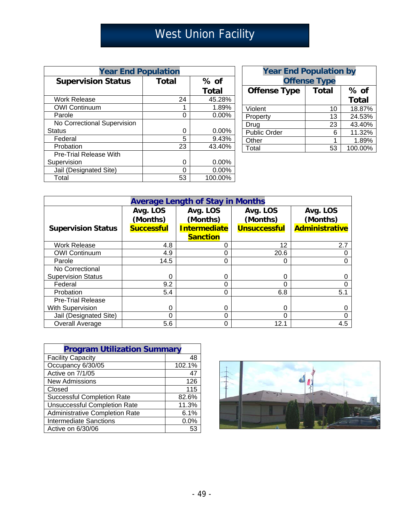# West Union Facility

| <b>Year End Population</b>    |              |              |  |  |
|-------------------------------|--------------|--------------|--|--|
| <b>Supervision Status</b>     | <b>Total</b> | $%$ of       |  |  |
|                               |              | <b>Total</b> |  |  |
| <b>Work Release</b>           | 24           | 45.28%       |  |  |
| <b>OWI Continuum</b>          | 1            | 1.89%        |  |  |
| Parole                        | O            | 0.00%        |  |  |
| No Correctional Supervision   |              |              |  |  |
| <b>Status</b>                 | 0            | 0.00%        |  |  |
| Federal                       | 5            | 9.43%        |  |  |
| Probation                     | 23           | 43.40%       |  |  |
| <b>Pre-Trial Release With</b> |              |              |  |  |
| Supervision                   | 0            | 0.00%        |  |  |
| Jail (Designated Site)        |              | 0.00%        |  |  |
| Total                         | 53           | 100.00%      |  |  |

| <b>Year End Population by</b><br><b>Offense Type</b> |    |              |  |
|------------------------------------------------------|----|--------------|--|
| <b>Offense Type</b><br><b>Total</b><br>$%$ of        |    |              |  |
|                                                      |    | <b>Total</b> |  |
| Violent                                              | 10 | 18.87%       |  |
| Property                                             | 13 | 24.53%       |  |
| Drug                                                 | 23 | 43.40%       |  |
| <b>Public Order</b>                                  | 6  | 11.32%       |  |
| Other                                                | 1  | 1.89%        |  |
| Total                                                | 53 | 100.00%      |  |

| <b>Average Length of Stay in Months</b> |                      |                      |                      |                       |  |
|-----------------------------------------|----------------------|----------------------|----------------------|-----------------------|--|
|                                         | Avg. LOS<br>(Months) | Avg. LOS<br>(Months) | Avg. LOS<br>(Months) | Avg. LOS<br>(Months)  |  |
| <b>Supervision Status</b>               | <b>Successful</b>    | Intermediate         | <b>Unsuccessful</b>  | <b>Administrative</b> |  |
|                                         |                      | <b>Sanction</b>      |                      |                       |  |
| <b>Work Release</b>                     | 4.8                  | 0                    | 12                   | 2.7                   |  |
| <b>OWI Continuum</b>                    | 4.9                  | 0                    | 20.6                 | 0                     |  |
| Parole                                  | 14.5                 | $\Omega$             | $\Omega$             | 0                     |  |
| No Correctional                         |                      |                      |                      |                       |  |
| <b>Supervision Status</b>               | 0                    | 0                    | ∩                    | 0                     |  |
| Federal                                 | 9.2                  | 0                    |                      | 0                     |  |
| Probation                               | 5.4                  | 0                    | 6.8                  | 5.1                   |  |
| <b>Pre-Trial Release</b>                |                      |                      |                      |                       |  |
| With Supervision                        | $\Omega$             | 0                    | $\Omega$             | 0                     |  |
| Jail (Designated Site)                  | 0                    | 0                    |                      | 0                     |  |
| Overall Average                         | 5.6                  | 0                    | 12.1                 | 4.5                   |  |

| <b>Program Utilization Summary</b>    |        |
|---------------------------------------|--------|
| <b>Facility Capacity</b>              | 48     |
| Occupancy 6/30/05                     | 102.1% |
| Active on 7/1/05                      | 47     |
| <b>New Admissions</b>                 | 126    |
| Closed                                | 115    |
| <b>Successful Completion Rate</b>     | 82.6%  |
| <b>Unsuccessful Completion Rate</b>   | 11.3%  |
| <b>Administrative Completion Rate</b> | 6.1%   |
| <b>Intermediate Sanctions</b>         | 0.0%   |
| Active on 6/30/06                     | 53     |

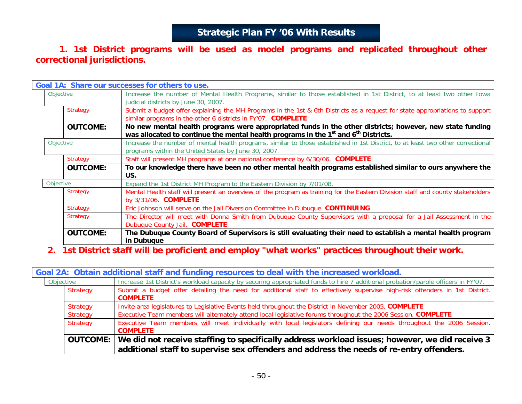## **Strategic Plan FY '06 With Results**

### **1. 1st District programs will be used as model programs and replicated throughout other correctional jurisdictions.**

|           |                 | Goal 1A: Share our successes for others to use.                                                                                                                                                                        |
|-----------|-----------------|------------------------------------------------------------------------------------------------------------------------------------------------------------------------------------------------------------------------|
| Objective |                 | Increase the number of Mental Health Programs, similar to those established in 1st District, to at least two other Iowa<br>judicial districts by June 30, 2007.                                                        |
|           | <b>Strategy</b> | Submit a budget offer explaining the MH Programs in the 1st & 6th Districts as a request for state appropriations to support<br>similar programs in the other 6 districts in FY'07. COMPLETE                           |
|           | <b>OUTCOME:</b> | No new mental health programs were appropriated funds in the other districts; however, new state funding<br>was allocated to continue the mental health programs in the 1 <sup>st</sup> and 6 <sup>th</sup> Districts. |
| Objective |                 | Increase the number of mental health programs, similar to those established in 1st District, to at least two other correctional<br>programs within the United States by June 30, 2007.                                 |
|           | <b>Strategy</b> | Staff will present MH programs at one national conference by 6/30/06. <b>COMPLETE</b>                                                                                                                                  |
|           | <b>OUTCOME:</b> | To our knowledge there have been no other mental health programs established similar to ours anywhere the<br>US.                                                                                                       |
| Objective |                 | Expand the 1st District MH Program to the Eastern Division by 7/01/08.                                                                                                                                                 |
|           | <b>Strategy</b> | Mental Health staff will present an overview of the program as training for the Eastern Division staff and county stakeholders<br>by 3/31/06. <b>COMPLETE</b>                                                          |
|           | <b>Strategy</b> | Eric Johnson will serve on the Jail Diversion Committee in Dubuque. CONTINUING                                                                                                                                         |
|           | Strategy        | The Director will meet with Donna Smith from Dubuque County Supervisors with a proposal for a Jail Assessment in the<br>Dubuque County Jail. COMPLETE                                                                  |
|           | <b>OUTCOME:</b> | The Dubuque County Board of Supervisors is still evaluating their need to establish a mental health program<br>in Dubuque                                                                                              |

### **2. 1st District staff will be proficient and employ "what works" practices throughout their work.**

|           | Goal 2A: Obtain additional staff and funding resources to deal with the increased workload. |                                                                                                                                                                                                     |  |  |  |
|-----------|---------------------------------------------------------------------------------------------|-----------------------------------------------------------------------------------------------------------------------------------------------------------------------------------------------------|--|--|--|
| Objective |                                                                                             | Increase 1st District's workload capacity by securing appropriated funds to hire 7 additional probation/parole officers in FY'07.                                                                   |  |  |  |
|           | Strategy                                                                                    | Submit a budget offer detailing the need for additional staff to effectively supervise high-risk offenders in 1st District.<br><b>COMPLETE</b>                                                      |  |  |  |
|           | Strategy                                                                                    | Invite area legislatures to Legislative Events held throughout the District in November 2005. COMPLETE                                                                                              |  |  |  |
|           | Strategy                                                                                    | Executive Team members will alternately attend local legislative forums throughout the 2006 Session. COMPLETE                                                                                       |  |  |  |
|           | Strategy                                                                                    | Executive Team members will meet individually with local legislators defining our needs throughout the 2006 Session.<br><b>COMPLETE</b>                                                             |  |  |  |
|           |                                                                                             | OUTCOME: We did not receive staffing to specifically address workload issues; however, we did receive 3<br>additional staff to supervise sex offenders and address the needs of re-entry offenders. |  |  |  |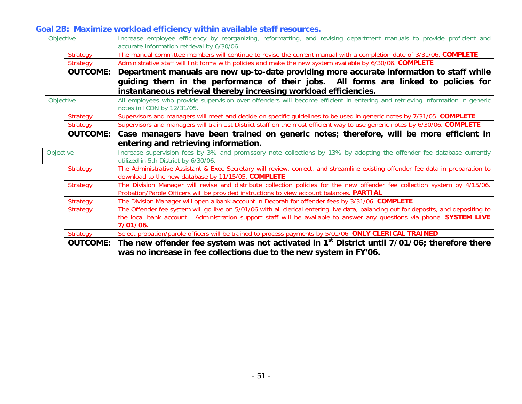|                 | Goal 2B: Maximize workload efficiency within available staff resources.                                                                                                                                                                                                  |
|-----------------|--------------------------------------------------------------------------------------------------------------------------------------------------------------------------------------------------------------------------------------------------------------------------|
| Objective       | Increase employee efficiency by reorganizing, reformatting, and revising department manuals to provide proficient and<br>accurate information retrieval by 6/30/06.                                                                                                      |
| <b>Strategy</b> | The manual committee members will continue to revise the current manual with a completion date of 3/31/06. COMPLETE                                                                                                                                                      |
| Strategy        | Administrative staff will link forms with policies and make the new system available by 6/30/06. COMPLETE                                                                                                                                                                |
| <b>OUTCOME:</b> | Department manuals are now up-to-date providing more accurate information to staff while                                                                                                                                                                                 |
|                 | guiding them in the performance of their jobs. All forms are linked to policies for<br>instantaneous retrieval thereby increasing workload efficiencies.                                                                                                                 |
| Objective       | All employees who provide supervision over offenders will become efficient in entering and retrieving information in generic<br>notes in ICON by 12/31/05.                                                                                                               |
| <b>Strategy</b> | Supervisors and managers will meet and decide on specific quidelines to be used in generic notes by 7/31/05. COMPLETE                                                                                                                                                    |
| <b>Strategy</b> | Supervisors and managers will train 1st District staff on the most efficient way to use generic notes by 6/30/06. COMPLETE                                                                                                                                               |
| <b>OUTCOME:</b> | Case managers have been trained on generic notes; therefore, will be more efficient in                                                                                                                                                                                   |
|                 | entering and retrieving information.                                                                                                                                                                                                                                     |
| Objective       | Increase supervision fees by 3% and promissory note collections by 13% by adopting the offender fee database currently<br>utilized in 5th District by 6/30/06.                                                                                                           |
| <b>Strategy</b> | The Administrative Assistant & Exec Secretary will review, correct, and streamline existing offender fee data in preparation to<br>download to the new database by 11/15/05. COMPLETE                                                                                    |
| <b>Strategy</b> | The Division Manager will revise and distribute collection policies for the new offender fee collection system by 4/15/06.<br>Probation/Parole Officers will be provided instructions to view account balances. PARTIAL                                                  |
| <b>Strategy</b> | The Division Manager will open a bank account in Decorah for offender fees by 3/31/06. COMPLETE                                                                                                                                                                          |
| <b>Strategy</b> | The Offender fee system will go live on 5/01/06 with all clerical entering live data, balancing out for deposits, and depositing to<br>the local bank account. Administration support staff will be available to answer any questions via phone. SYSTEM LIVE<br>7/01/06. |
| <b>Strategy</b> | Select probation/parole officers will be trained to process payments by 5/01/06. ONLY CLERICAL TRAINED                                                                                                                                                                   |
| <b>OUTCOME:</b> | The new offender fee system was not activated in $1st$ District until $7/01/06$ ; therefore there<br>was no increase in fee collections due to the new system in FY'06.                                                                                                  |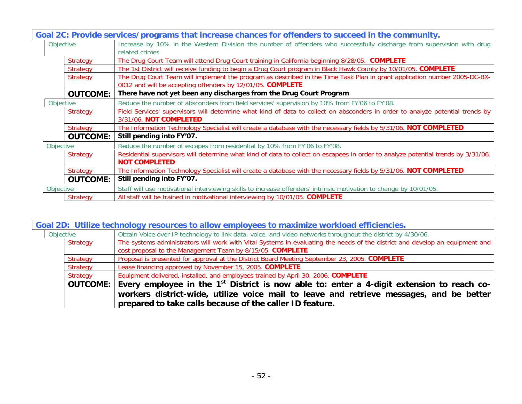|           |                 | Goal 2C: Provide services/programs that increase chances for offenders to succeed in the community.                              |
|-----------|-----------------|----------------------------------------------------------------------------------------------------------------------------------|
| Objective |                 | Increase by 10% in the Western Division the number of offenders who successfully discharge from supervision with drug            |
|           |                 | related crimes                                                                                                                   |
|           | Strategy        | The Drug Court Team will attend Drug Court training in California beginning 8/28/05. COMPLETE                                    |
|           | <b>Strategy</b> | The 1st District will receive funding to begin a Drug Court program in Black Hawk County by 10/01/05. COMPLETE                   |
|           | <b>Strategy</b> | The Drug Court Team will implement the program as described in the Time Task Plan in grant application number 2005-DC-BX-        |
|           |                 | 0012 and will be accepting offenders by 12/01/05. COMPLETE                                                                       |
|           | <b>OUTCOME:</b> | There have not yet been any discharges from the Drug Court Program                                                               |
| Objective |                 | Reduce the number of absconders from field services' supervision by 10% from FY'06 to FY'08.                                     |
|           | <b>Strategy</b> | Field Services' supervisors will determine what kind of data to collect on absconders in order to analyze potential trends by    |
|           |                 | 3/31/06. NOT COMPLETED                                                                                                           |
|           | <b>Strategy</b> | The Information Technology Specialist will create a database with the necessary fields by 5/31/06. NOT COMPLETED                 |
|           | <b>OUTCOME:</b> | Still pending into FY'07.                                                                                                        |
| Objective |                 | Reduce the number of escapes from residential by 10% from FY'06 to FY'08.                                                        |
|           | <b>Strategy</b> | Residential supervisors will determine what kind of data to collect on escapees in order to analyze potential trends by 3/31/06. |
|           |                 | <b>NOT COMPLETED</b>                                                                                                             |
|           | Strategy        | The Information Technology Specialist will create a database with the necessary fields by 5/31/06. NOT COMPLETED                 |
|           | <b>OUTCOME:</b> | Still pending into FY'07.                                                                                                        |
| Objective |                 | Staff will use motivational interviewing skills to increase offenders' intrinsic motivation to change by 10/01/05.               |
|           | Strategy        | All staff will be trained in motivational interviewing by 10/01/05. COMPLETE                                                     |

| Goal 2D: Utilize technology resources to allow employees to maximize workload efficiencies. |                                                                                                                              |  |  |
|---------------------------------------------------------------------------------------------|------------------------------------------------------------------------------------------------------------------------------|--|--|
| Objective                                                                                   | Obtain Voice over IP technology to link data, voice, and video networks throughout the district by 4/30/06.                  |  |  |
| Strategy                                                                                    | The systems administrators will work with Vital Systems in evaluating the needs of the district and develop an equipment and |  |  |
|                                                                                             | cost proposal to the Management Team by 8/15/05. COMPLETE                                                                    |  |  |
| Strategy                                                                                    | Proposal is presented for approval at the District Board Meeting September 23, 2005. COMPLETE                                |  |  |
| Strategy                                                                                    | Lease financing approved by November 15, 2005. COMPLETE                                                                      |  |  |
| Strategy                                                                                    | Equipment delivered, installed, and employees trained by April 30, 2006. COMPLETE                                            |  |  |
| <b>OUTCOME:</b>                                                                             | Every employee in the 1 <sup>st</sup> District is now able to: enter a 4-digit extension to reach co-                        |  |  |
|                                                                                             | workers district-wide, utilize voice mail to leave and retrieve messages, and be better                                      |  |  |
|                                                                                             | prepared to take calls because of the caller ID feature.                                                                     |  |  |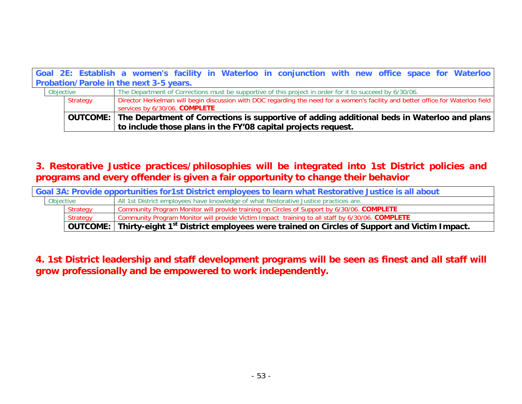|                                         |          | Goal 2E: Establish a women's facility in Waterloo in conjunction with new office space for Waterloo                              |  |  |
|-----------------------------------------|----------|----------------------------------------------------------------------------------------------------------------------------------|--|--|
| Probation/Parole in the next 3-5 years. |          |                                                                                                                                  |  |  |
| Objective                               |          | The Department of Corrections must be supportive of this project in order for it to succeed by 6/30/06.                          |  |  |
|                                         | Strategy | Director Herkelman will begin discussion with DOC regarding the need for a women's facility and better office for Waterloo field |  |  |
|                                         |          | services by 6/30/06. COMPLETE                                                                                                    |  |  |
|                                         |          | OUTCOME: The Department of Corrections is supportive of adding additional beds in Waterloo and plans                             |  |  |
|                                         |          | to include those plans in the FY'08 capital projects request.                                                                    |  |  |

**3. Restorative Justice practices/philosophies will be integrated into 1st District policies and programs and every offender is given a fair opportunity to change their behavior**

| Goal 3A: Provide opportunities for1st District employees to learn what Restorative Justice is all about |                 |                                                                                                                                  |
|---------------------------------------------------------------------------------------------------------|-----------------|----------------------------------------------------------------------------------------------------------------------------------|
| Objective                                                                                               |                 | All 1st District employees have knowledge of what Restorative Justice practices are.                                             |
|                                                                                                         | <b>Strategy</b> | Community Program Monitor will provide training on Circles of Support by 6/30/06. COMPLETE                                       |
|                                                                                                         | Strategy        | Community Program Monitor will provide Victim Impact training to all staff by 6/30/06. COMPLETE                                  |
|                                                                                                         |                 | $^\dagger$ OUTCOME: $\mid$ Thirty-eight 1 <sup>st</sup> District employees were trained on Circles of Support and Victim Impact. |

**4. 1st District leadership and staff development programs will be seen as finest and all staff will grow professionally and be empowered to work independently.**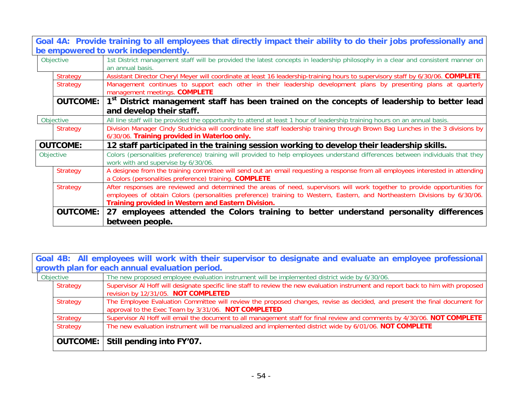| Goal 4A: Provide training to all employees that directly impact their ability to do their jobs professionally and |                                                                                                                                                                                                                                                                                                                |  |
|-------------------------------------------------------------------------------------------------------------------|----------------------------------------------------------------------------------------------------------------------------------------------------------------------------------------------------------------------------------------------------------------------------------------------------------------|--|
| be empowered to work independently.                                                                               |                                                                                                                                                                                                                                                                                                                |  |
| Objective                                                                                                         | 1st District management staff will be provided the latest concepts in leadership philosophy in a clear and consistent manner on<br>an annual basis.                                                                                                                                                            |  |
| Strategy                                                                                                          | Assistant Director Cheryl Meyer will coordinate at least 16 leadership-training hours to supervisory staff by 6/30/06. COMPLETE                                                                                                                                                                                |  |
| <b>Strategy</b>                                                                                                   | Management continues to support each other in their leadership development plans by presenting plans at quarterly<br>management meetings. COMPLETE                                                                                                                                                             |  |
| <b>OUTCOME:</b>                                                                                                   | 1 <sup>st</sup> District management staff has been trained on the concepts of leadership to better lead                                                                                                                                                                                                        |  |
|                                                                                                                   | and develop their staff.                                                                                                                                                                                                                                                                                       |  |
| Objective                                                                                                         | All line staff will be provided the opportunity to attend at least 1 hour of leadership training hours on an annual basis.                                                                                                                                                                                     |  |
| <b>Strategy</b>                                                                                                   | Division Manager Cindy Studnicka will coordinate line staff leadership training through Brown Bag Lunches in the 3 divisions by<br>6/30/06. Training provided in Waterloo only.                                                                                                                                |  |
| <b>OUTCOME:</b>                                                                                                   | 12 staff participated in the training session working to develop their leadership skills.                                                                                                                                                                                                                      |  |
| Objective                                                                                                         | Colors (personalities preference) training will provided to help employees understand differences between individuals that they<br>work with and supervise by 6/30/06.                                                                                                                                         |  |
| <b>Strategy</b>                                                                                                   | A designee from the training committee will send out an email requesting a response from all employees interested in attending<br>a Colors (personalities preference) training. COMPLETE                                                                                                                       |  |
| <b>Strategy</b>                                                                                                   | After responses are reviewed and determined the areas of need, supervisors will work together to provide opportunities for<br>employees of obtain Colors (personalities preference) training to Western, Eastern, and Northeastern Divisions by 6/30/06.<br>Training provided in Western and Eastern Division. |  |
| <b>OUTCOME:</b>                                                                                                   | 27 employees attended the Colors training to better understand personality differences                                                                                                                                                                                                                         |  |
|                                                                                                                   | between people.                                                                                                                                                                                                                                                                                                |  |

**Goal 4B: All employees will work with their supervisor to designate and evaluate an employee professional** 

| growth plan for each annual evaluation period. |                                                                                                                                                                                  |  |
|------------------------------------------------|----------------------------------------------------------------------------------------------------------------------------------------------------------------------------------|--|
| Objective                                      | The new proposed employee evaluation instrument will be implemented district wide by 6/30/06.                                                                                    |  |
| Strategy                                       | Supervisor AI Hoff will designate specific line staff to review the new evaluation instrument and report back to him with proposed<br>revision by 12/31/05. NOT COMPLETED        |  |
| Strategy                                       | The Employee Evaluation Committee will review the proposed changes, revise as decided, and present the final document for<br>approval to the Exec Team by 3/31/06. NOT COMPLETED |  |
| Strategy                                       | Supervisor AI Hoff will email the document to all management staff for final review and comments by 4/30/06. NOT COMPLETE                                                        |  |
| Strategy                                       | The new evaluation instrument will be manualized and implemented district wide by 6/01/06. NOT COMPLETE                                                                          |  |
|                                                | <b>OUTCOME:</b> Still pending into FY'07.                                                                                                                                        |  |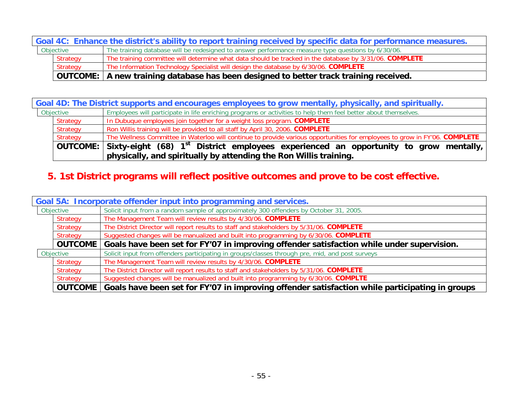| Goal 4C: Enhance the district's ability to report training received by specific data for performance measures. |          |                                                                                                        |
|----------------------------------------------------------------------------------------------------------------|----------|--------------------------------------------------------------------------------------------------------|
| Objective                                                                                                      |          | The training database will be redesigned to answer performance measure type questions by 6/30/06.      |
|                                                                                                                | Strategy | The training committee will determine what data should be tracked in the database by 3/31/06. COMPLETE |
|                                                                                                                | Strategy | The Information Technology Specialist will design the database by 6/30/06. COMPLETE                    |
|                                                                                                                |          | OUTCOME:   A new training database has been designed to better track training received.                |

|           | Goal 4D: The District supports and encourages employees to grow mentally, physically, and spiritually. |                                                                                                                                     |  |
|-----------|--------------------------------------------------------------------------------------------------------|-------------------------------------------------------------------------------------------------------------------------------------|--|
| Objective |                                                                                                        | Employees will participate in life enriching programs or activities to help them feel better about themselves.                      |  |
|           | Strategy                                                                                               | In Dubuque employees join together for a weight loss program. COMPLETE                                                              |  |
|           | Strategy                                                                                               | Ron Willis training will be provided to all staff by April 30, 2006. COMPLETE                                                       |  |
|           | Strategy                                                                                               | The Wellness Committee in Waterloo will continue to provide various opportunities for employees to grow in FY'06. COMPLETE          |  |
|           |                                                                                                        | <code> OUTCOME:</code> $\mid$ Sixty-eight (68) 1 $^{\rm st}$ District employees experienced an opportunity to grow mentally, $\mid$ |  |
|           |                                                                                                        | physically, and spiritually by attending the Ron Willis training.                                                                   |  |

# **5. 1st District programs will reflect positive outcomes and prove to be cost effective.**

|           | Goal 5A: Incorporate offender input into programming and services. |                                                                                                 |  |
|-----------|--------------------------------------------------------------------|-------------------------------------------------------------------------------------------------|--|
| Objective |                                                                    | Solicit input from a random sample of approximately 300 offenders by October 31, 2005.          |  |
|           | Strategy                                                           | The Management Team will review results by 4/30/06. COMPLETE                                    |  |
|           | <b>Strategy</b>                                                    | The District Director will report results to staff and stakeholders by 5/31/06. COMPLETE        |  |
|           | <b>Strategy</b>                                                    | Suggested changes will be manualized and built into programming by 6/30/06. COMPLETE            |  |
|           | <b>OUTCOME</b>                                                     | Goals have been set for FY'07 in improving offender satisfaction while under supervision.       |  |
| Objective |                                                                    | Solicit input from offenders participating in groups/classes through pre, mid, and post surveys |  |
|           | Strategy                                                           | The Management Team will review results by 4/30/06. COMPLETE                                    |  |
|           | <b>Strategy</b>                                                    | The District Director will report results to staff and stakeholders by 5/31/06. COMPLETE        |  |
|           | Strategy                                                           | Suggested changes will be manualized and built into programming by 6/30/06. COMPLTE             |  |
|           | <b>OUTCOME</b>                                                     | Goals have been set for FY'07 in improving offender satisfaction while participating in groups  |  |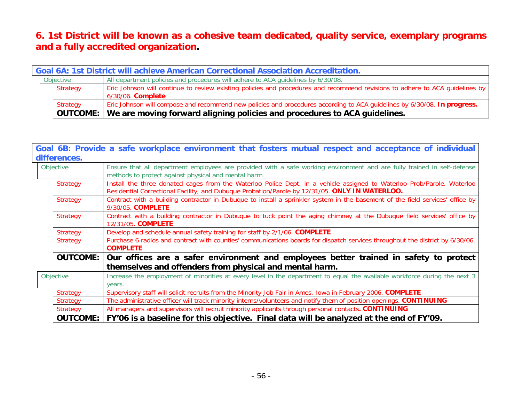## **6. 1st District will be known as a cohesive team dedicated, quality service, exemplary programs and a fully accredited organization.**

| <b>Goal 6A: 1st District will achieve American Correctional Association Accreditation.</b> |                                                                                                                                                          |  |
|--------------------------------------------------------------------------------------------|----------------------------------------------------------------------------------------------------------------------------------------------------------|--|
| Objective                                                                                  | All department policies and procedures will adhere to ACA guidelines by 6/30/08.                                                                         |  |
| Strategy                                                                                   | Eric Johnson will continue to review existing policies and procedures and recommend revisions to adhere to ACA quidelines by<br>6/30/06. <b>Complete</b> |  |
| Strategy                                                                                   | Eric Johnson will compose and recommend new policies and procedures according to ACA guidelines by 6/30/08. In progress.                                 |  |
|                                                                                            | OUTCOME: We are moving forward aligning policies and procedures to ACA guidelines.                                                                       |  |

|                 | Goal 6B: Provide a safe workplace environment that fosters mutual respect and acceptance of individual                                                                                                                   |  |  |
|-----------------|--------------------------------------------------------------------------------------------------------------------------------------------------------------------------------------------------------------------------|--|--|
| differences.    |                                                                                                                                                                                                                          |  |  |
| Objective       | Ensure that all department employees are provided with a safe working environment and are fully trained in self-defense<br>methods to protect against physical and mental harm.                                          |  |  |
| <b>Strategy</b> | Install the three donated cages from the Waterloo Police Dept. in a vehicle assigned to Waterloo Prob/Parole, Waterloo<br>Residential Correctional Facility, and Dubuque Probation/Parole by 12/31/05. ONLY IN WATERLOO. |  |  |
| <b>Strategy</b> | Contract with a building contractor in Dubuque to install a sprinkler system in the basement of the field services' office by<br>9/30/05. COMPLETE                                                                       |  |  |
| <b>Strategy</b> | Contract with a building contractor in Dubuque to tuck point the aging chimney at the Dubuque field services' office by<br>12/31/05. COMPLETE                                                                            |  |  |
| Strategy        | Develop and schedule annual safety training for staff by 2/1/06. COMPLETE                                                                                                                                                |  |  |
| <b>Strategy</b> | Purchase 6 radios and contract with counties' communications boards for dispatch services throughout the district by 6/30/06.<br><b>COMPLETE</b>                                                                         |  |  |
| <b>OUTCOME:</b> | Our offices are a safer environment and employees better trained in safety to protect                                                                                                                                    |  |  |
|                 | themselves and offenders from physical and mental harm.                                                                                                                                                                  |  |  |
| Objective       | Increase the employment of minorities at every level in the department to equal the available workforce during the next 3                                                                                                |  |  |
|                 | vears.                                                                                                                                                                                                                   |  |  |
| <b>Strategy</b> | Supervisory staff will solicit recruits from the Minority Job Fair in Ames, Iowa in February 2006. COMPLETE                                                                                                              |  |  |
| Strategy        | The administrative officer will track minority interns/volunteers and notify them of position openings. CONTINUING                                                                                                       |  |  |
| Strategy        | All managers and supervisors will recruit minority applicants through personal contacts. CONTINUING                                                                                                                      |  |  |
| <b>OUTCOME:</b> | FY'06 is a baseline for this objective. Final data will be analyzed at the end of FY'09.                                                                                                                                 |  |  |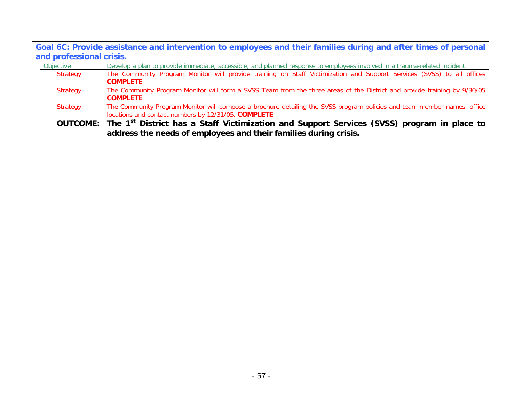**Goal 6C: Provide assistance and intervention to employees and their families during and after times of personal and professional crisis.**

| Objective |          | Develop a plan to provide immediate, accessible, and planned response to employees involved in a trauma-related incident.                                                      |
|-----------|----------|--------------------------------------------------------------------------------------------------------------------------------------------------------------------------------|
|           | Strategy | The Community Program Monitor will provide training on Staff Victimization and Support Services (SVSS) to all offices<br><b>COMPLETE</b>                                       |
|           | Strategy | The Community Program Monitor will form a SVSS Team from the three areas of the District and provide training by 9/30/05<br><b>COMPLETE</b>                                    |
|           | Strategy | The Community Program Monitor will compose a brochure detailing the SVSS program policies and team member names, office<br>locations and contact numbers by 12/31/05. COMPLETE |
|           |          | OUTCOME: The 1 <sup>st</sup> District has a Staff Victimization and Support Services (SVSS) program in place to                                                                |
|           |          | address the needs of employees and their families during crisis.                                                                                                               |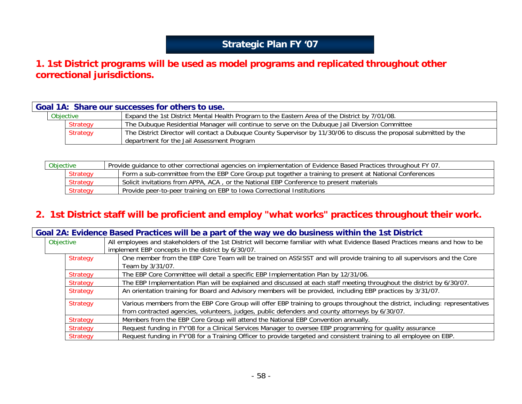# **Strategic Plan FY '07**

## **1. 1st District programs will be used as model programs and replicated throughout other correctional jurisdictions.**

| Goal 1A: Share our successes for others to use. |                                                                                                                                                                   |  |
|-------------------------------------------------|-------------------------------------------------------------------------------------------------------------------------------------------------------------------|--|
| Objective                                       | Expand the 1st District Mental Health Program to the Eastern Area of the District by 7/01/08.                                                                     |  |
| <b>Strategy</b>                                 | The Dubuque Residential Manager will continue to serve on the Dubuque Jail Diversion Committee                                                                    |  |
| Strategy                                        | The District Director will contact a Dubuque County Supervisor by 11/30/06 to discuss the proposal submitted by the<br>department for the Jail Assessment Program |  |

| Objective |                 | Provide quidance to other correctional agencies on implementation of Evidence Based Practices throughout FY 07. |
|-----------|-----------------|-----------------------------------------------------------------------------------------------------------------|
|           | Strategy        | Form a sub-committee from the EBP Core Group put together a training to present at National Conferences         |
|           | <b>Strategy</b> | Solicit invitations from APPA, ACA, or the National EBP Conference to present materials                         |
|           | <b>Strategy</b> | Provide peer-to-peer training on EBP to Iowa Correctional Institutions                                          |

## **2. 1st District staff will be proficient and employ "what works" practices throughout their work.**

| Goal 2A: Evidence Based Practices will be a part of the way we do business within the 1st District |                                                                                                                                |
|----------------------------------------------------------------------------------------------------|--------------------------------------------------------------------------------------------------------------------------------|
| Objective                                                                                          | All employees and stakeholders of the 1st District will become familiar with what Evidence Based Practices means and how to be |
|                                                                                                    | implement EBP concepts in the district by 6/30/07.                                                                             |
| <b>Strategy</b>                                                                                    | One member from the EBP Core Team will be trained on ASSISST and will provide training to all supervisors and the Core         |
|                                                                                                    | Team by 3/31/07.                                                                                                               |
| <b>Strategy</b>                                                                                    | The EBP Core Committee will detail a specific EBP Implementation Plan by 12/31/06.                                             |
| <b>Strategy</b>                                                                                    | The EBP Implementation Plan will be explained and discussed at each staff meeting throughout the district by 6/30/07.          |
| <b>Strategy</b>                                                                                    | An orientation training for Board and Advisory members will be provided, including EBP practices by 3/31/07.                   |
| <b>Strategy</b>                                                                                    | Various members from the EBP Core Group will offer EBP training to groups throughout the district, including: representatives  |
|                                                                                                    | from contracted agencies, volunteers, judges, public defenders and county attorneys by 6/30/07.                                |
| <b>Strategy</b>                                                                                    | Members from the EBP Core Group will attend the National EBP Convention annually.                                              |
| <b>Strategy</b>                                                                                    | Request funding in FY'08 for a Clinical Services Manager to oversee EBP programming for quality assurance                      |
| <b>Strategy</b>                                                                                    | Request funding in FY'08 for a Training Officer to provide targeted and consistent training to all employee on EBP.            |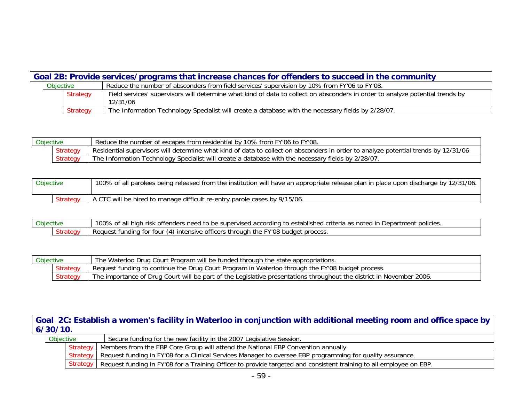|                                                                                                           | Goal 2B: Provide services/programs that increase chances for offenders to succeed in the community |          |                                                                                                                               |
|-----------------------------------------------------------------------------------------------------------|----------------------------------------------------------------------------------------------------|----------|-------------------------------------------------------------------------------------------------------------------------------|
| Reduce the number of absconders from field services' supervision by 10% from FY'06 to FY'08.<br>Objective |                                                                                                    |          |                                                                                                                               |
|                                                                                                           |                                                                                                    | Strategy | Field services' supervisors will determine what kind of data to collect on absconders in order to analyze potential trends by |
|                                                                                                           |                                                                                                    |          | 12/31/06                                                                                                                      |
|                                                                                                           |                                                                                                    | Strategy | The Information Technology Specialist will create a database with the necessary fields by 2/28/07.                            |

| Obiective |          | Reduce the number of escapes from residential by 10% from FY'06 to FY'08.                                                          |
|-----------|----------|------------------------------------------------------------------------------------------------------------------------------------|
|           | Strategy | Residential supervisors will determine what kind of data to collect on absconders in order to analyze potential trends by 12/31/06 |
|           | Strategy | Technology Specialist will create a database with the necessary fields by 2/28/07.<br>Information<br>l he                          |

| Objective | 100% of all parolees being released from the institution will have an appropriate release plan in place upon discharge by 12/31/06. |
|-----------|-------------------------------------------------------------------------------------------------------------------------------------|
|           | A CTC will be hired to manage difficult re-entry parole cases by 9/15/06.                                                           |

Objective 100% of all high risk offenders need to be supervised according to established criteria as noted in Department policies.<br>Strategy Request funding for four (4) intensive officers through the FY'08 budget process. Request funding for four (4) intensive officers through the FY'08 budget process.

| Objective |          | The Waterloo Drug Court Program will be funded through the state appropriations.                                     |
|-----------|----------|----------------------------------------------------------------------------------------------------------------------|
|           | Strategy | Request funding to continue the Drug Court Program in Waterloo through the FY'08 budget process.                     |
|           | Strategy | The importance of Drug Court will be part of the Legislative presentations throughout the district in November 2006. |

**Goal 2C: Establish a women's facility in Waterloo in conjunction with additional meeting room and office space by 6/30/10.**

| <b>Objective</b> |  | Secure funding for the new facility in the 2007 Legislative Session.                                                           |
|------------------|--|--------------------------------------------------------------------------------------------------------------------------------|
|                  |  | Strategy   Members from the EBP Core Group will attend the National EBP Convention annually.                                   |
|                  |  | Strategy   Request funding in FY'08 for a Clinical Services Manager to oversee EBP programming for quality assurance           |
|                  |  | Strategy   Request funding in FY'08 for a Training Officer to provide targeted and consistent training to all employee on EBP. |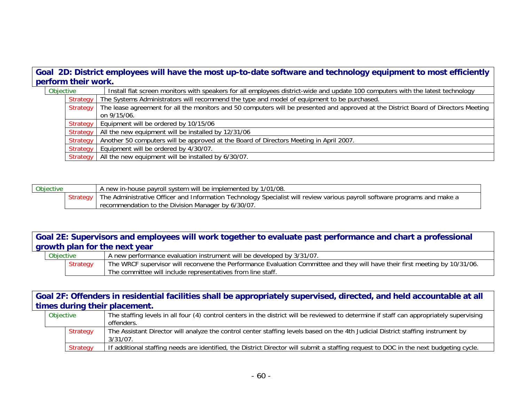### **Goal 2D: District employees will have the most up-to-date software and technology equipment to most efficiently perform their work.**

| Objective |                 | Install flat screen monitors with speakers for all employees district-wide and update 100 computers with the latest technology      |
|-----------|-----------------|-------------------------------------------------------------------------------------------------------------------------------------|
|           | <b>Strategy</b> | The Systems Administrators will recommend the type and model of equipment to be purchased.                                          |
|           | Strategy        | The lease agreement for all the monitors and 50 computers will be presented and approved at the District Board of Directors Meeting |
|           |                 | on 9/15/06.                                                                                                                         |
|           |                 | Strategy   Equipment will be ordered by 10/15/06                                                                                    |
|           | Strategy        | All the new equipment will be installed by 12/31/06                                                                                 |
|           | <b>Strategy</b> | Another 50 computers will be approved at the Board of Directors Meeting in April 2007.                                              |
|           | Strategy        | Equipment will be ordered by 4/30/07.                                                                                               |
|           |                 | Strategy   All the new equipment will be installed by 6/30/07.                                                                      |

| <b>Objective</b> |  | A new in-house payroll system will be implemented by 1/01/08.                                                             |
|------------------|--|---------------------------------------------------------------------------------------------------------------------------|
|                  |  | The Administrative Officer and Information Technology Specialist will review various payroll software programs and make a |
|                  |  | recommendation to the Division Manager by 6/30/07.                                                                        |

### **Goal 2E: Supervisors and employees will work together to evaluate past performance and chart a professional growth plan for the next year**

| <b>Objective</b> |                 | A new performance evaluation instrument will be developed by 3/31/07.                                                       |
|------------------|-----------------|-----------------------------------------------------------------------------------------------------------------------------|
|                  | <b>Strategy</b> | The WRCF supervisor will reconvene the Performance Evaluation Committee and they will have their first meeting by 10/31/06. |
|                  |                 | The committee will include representatives from line staff.                                                                 |

### **Goal 2F: Offenders in residential facilities shall be appropriately supervised, directed, and held accountable at all times during their placement.**

| Objective | The staffing levels in all four (4) control centers in the district will be reviewed to determine if staff can appropriately supervising |
|-----------|------------------------------------------------------------------------------------------------------------------------------------------|
|           | offenders.                                                                                                                               |
| Strategy  | The Assistant Director will analyze the control center staffing levels based on the 4th Judicial District staffing instrument by         |
|           | $3/31/07$ .                                                                                                                              |
| Strategy  | If additional staffing needs are identified, the District Director will submit a staffing request to DOC in the next budgeting cycle.    |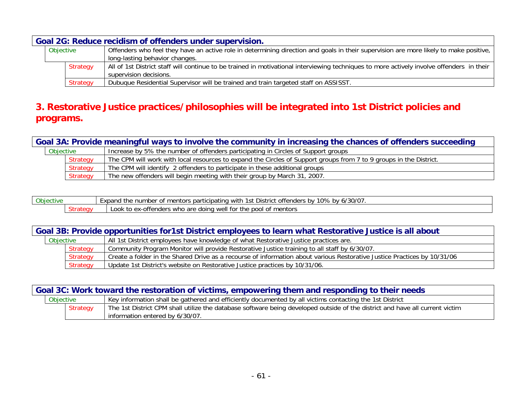|           | Goal 2G: Reduce recidism of offenders under supervision. |          |                                                                                                                                           |  |
|-----------|----------------------------------------------------------|----------|-------------------------------------------------------------------------------------------------------------------------------------------|--|
| Objective |                                                          |          | Offenders who feel they have an active role in determining direction and goals in their supervision are more likely to make positive,     |  |
|           |                                                          |          | long-lasting behavior changes.                                                                                                            |  |
|           |                                                          | Strategy | All of 1st District staff will continue to be trained in motivational interviewing techniques to more actively involve offenders in their |  |
|           |                                                          |          | supervision decisions.                                                                                                                    |  |
|           |                                                          | Strategy | Dubuque Residential Supervisor will be trained and train targeted staff on ASSISST.                                                       |  |

## **3. Restorative Justice practices/philosophies will be integrated into 1st District policies and programs.**

|                                                                                                | Goal 3A: Provide meaningful ways to involve the community in increasing the chances of offenders succeeding |                 |                                                                                                                    |  |
|------------------------------------------------------------------------------------------------|-------------------------------------------------------------------------------------------------------------|-----------------|--------------------------------------------------------------------------------------------------------------------|--|
| Increase by 5% the number of offenders participating in Circles of Support groups<br>Objective |                                                                                                             |                 |                                                                                                                    |  |
|                                                                                                |                                                                                                             | Strategy        | The CPM will work with local resources to expand the Circles of Support groups from 7 to 9 groups in the District. |  |
|                                                                                                |                                                                                                             | <b>Strategy</b> | The CPM will identify 2 offenders to participate in these additional groups                                        |  |
|                                                                                                |                                                                                                             | Strategy        | The new offenders will begin meeting with their group by March 31, 2007.                                           |  |

| Objective          |  | $\sim$ /20/0-<br>$\sim$<br>100/<br>hv.<br>offenders<br>∵xpano<br>$\sim$<br>1st<br>, participating.<br>. umber<br>h.<br>with<br>District<br>າentors<br>n/<br>ົ⊔⊻<br>v a<br>. J. N<br>, , , , , , , , ,<br>பய |
|--------------------|--|-------------------------------------------------------------------------------------------------------------------------------------------------------------------------------------------------------------|
| $\sim$<br>Strategy |  | mentors<br>who are<br>DOO<br>tor<br>-offenders<br>doing well<br>$\Delta V - I$<br>the<br>. to<br>Look<br>Οİ<br>◡◠                                                                                           |

| Goal 3B: Provide opportunities for 1st District employees to learn what Restorative Justice is all about |          |                                                                                                                          |  |
|----------------------------------------------------------------------------------------------------------|----------|--------------------------------------------------------------------------------------------------------------------------|--|
| Objective                                                                                                |          | All 1st District employees have knowledge of what Restorative Justice practices are.                                     |  |
|                                                                                                          | Strategy | Community Program Monitor will provide Restorative Justice training to all staff by 6/30/07.                             |  |
|                                                                                                          | Strategy | Create a folder in the Shared Drive as a recourse of information about various Restorative Justice Practices by 10/31/06 |  |
|                                                                                                          | Strategy | Update 1st District's website on Restorative Justice practices by 10/31/06.                                              |  |

| Goal 3C: Work toward the restoration of victims, empowering them and responding to their needs |                                                                                                                                                                   |  |  |
|------------------------------------------------------------------------------------------------|-------------------------------------------------------------------------------------------------------------------------------------------------------------------|--|--|
| Objective                                                                                      | Key information shall be gathered and efficiently documented by all victims contacting the 1st District                                                           |  |  |
| <b>Strategy</b>                                                                                | The 1st District CPM shall utilize the database software being developed outside of the district and have all current victim<br>I information entered by 6/30/07. |  |  |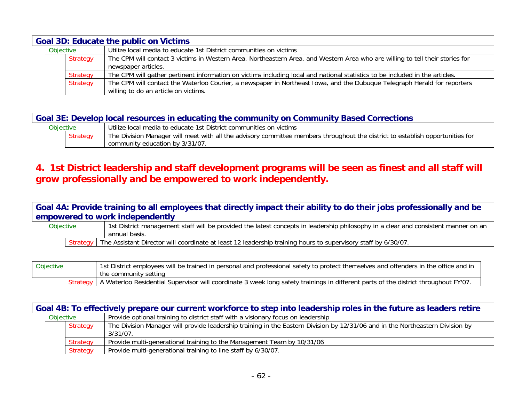| <b>Goal 3D: Educate the public on Victims</b> |                 |                                                                                                                                                                  |
|-----------------------------------------------|-----------------|------------------------------------------------------------------------------------------------------------------------------------------------------------------|
| Objective                                     |                 | Utilize local media to educate 1st District communities on victims                                                                                               |
|                                               | Strategy        | The CPM will contact 3 victims in Western Area, Northeastern Area, and Western Area who are willing to tell their stories for<br>newspaper articles.             |
|                                               | <b>Strategy</b> | The CPM will gather pertinent information on victims including local and national statistics to be included in the articles.                                     |
|                                               | Strategy        | The CPM will contact the Waterloo Courier, a newspaper in Northeast Iowa, and the Dubuque Telegraph Herald for reporters<br>willing to do an article on victims. |

**Goal 3E: Develop local resources in educating the community on Community Based Corrections**

| <b>Objective</b> |                 | Utilize local media to educate 1st District communities on victims                                                            |
|------------------|-----------------|-------------------------------------------------------------------------------------------------------------------------------|
|                  | <b>Strategy</b> | The Division Manager will meet with all the advisory committee members throughout the district to establish opportunities for |
|                  |                 | community education by 3/31/07.                                                                                               |

### **4. 1st District leadership and staff development programs will be seen as finest and all staff will grow professionally and be empowered to work independently.**

**Goal 4A: Provide training to all employees that directly impact their ability to do their jobs professionally and be empowered to work independently**

| Objective | 1st District management staff will be provided the latest concepts in leadership philosophy in a clear and consistent manner on an |
|-----------|------------------------------------------------------------------------------------------------------------------------------------|
|           | annual basis.                                                                                                                      |
|           | Strategy   The Assistant Director will coordinate at least 12 leadership training hours to supervisory staff by 6/30/07.           |

| Objective | 1st District employees will be trained in personal and professional safety to protect themselves and offenders in the office and in<br>the community setting |
|-----------|--------------------------------------------------------------------------------------------------------------------------------------------------------------|
|           | Strategy   A Waterloo Residential Supervisor will coordinate 3 week long safety trainings in different parts of the district throughout FY'07.               |

|           | Goal 4B: To effectively prepare our current workforce to step into leadership roles in the future as leaders retire |          |                                                                                                                               |  |  |
|-----------|---------------------------------------------------------------------------------------------------------------------|----------|-------------------------------------------------------------------------------------------------------------------------------|--|--|
| Objective |                                                                                                                     |          | Provide optional training to district staff with a visionary focus on leadership                                              |  |  |
|           |                                                                                                                     | Strategy | The Division Manager will provide leadership training in the Eastern Division by 12/31/06 and in the Northeastern Division by |  |  |
|           |                                                                                                                     |          | $3/31/07$ .                                                                                                                   |  |  |
|           |                                                                                                                     | Strategy | Provide multi-generational training to the Management Team by 10/31/06                                                        |  |  |
|           |                                                                                                                     | Strategy | Provide multi-generational training to line staff by 6/30/07.                                                                 |  |  |